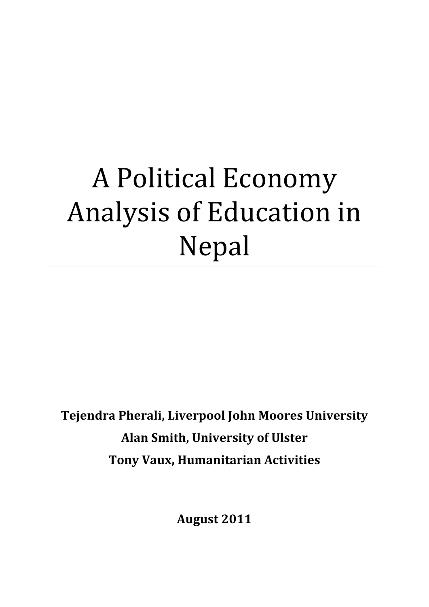# A Political Economy Analysis of Education in Nepal

**Tejendra Pherali, Liverpool John Moores University Alan Smith, University of Ulster Tony Vaux, Humanitarian Activities**

**August 2011**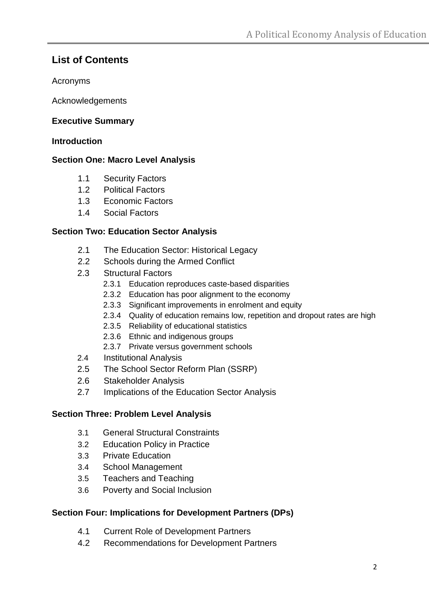# **List of Contents**

Acronyms

Acknowledgements

# **Executive Summary**

## **Introduction**

# **Section One: Macro Level Analysis**

- 1.1 Security Factors
- 1.2 Political Factors
- 1.3 Economic Factors
- 1.4 Social Factors

# **Section Two: Education Sector Analysis**

- 2.1 The Education Sector: Historical Legacy
- 2.2 Schools during the Armed Conflict
- 2.3 Structural Factors
	- 2.3.1 Education reproduces caste-based disparities
	- 2.3.2 Education has poor alignment to the economy
	- 2.3.3 Significant improvements in enrolment and equity
	- 2.3.4 Quality of education remains low, repetition and dropout rates are high
	- 2.3.5 Reliability of educational statistics
	- 2.3.6 Ethnic and indigenous groups
	- 2.3.7 Private versus government schools
- 2.4 Institutional Analysis
- 2.5 The School Sector Reform Plan (SSRP)
- 2.6 Stakeholder Analysis
- 2.7 Implications of the Education Sector Analysis

# **Section Three: Problem Level Analysis**

- 3.1 General Structural Constraints
- 3.2 Education Policy in Practice
- 3.3 Private Education
- 3.4 School Management
- 3.5 Teachers and Teaching
- 3.6 Poverty and Social Inclusion

# **Section Four: Implications for Development Partners (DPs)**

- 4.1 Current Role of Development Partners
- 4.2 Recommendations for Development Partners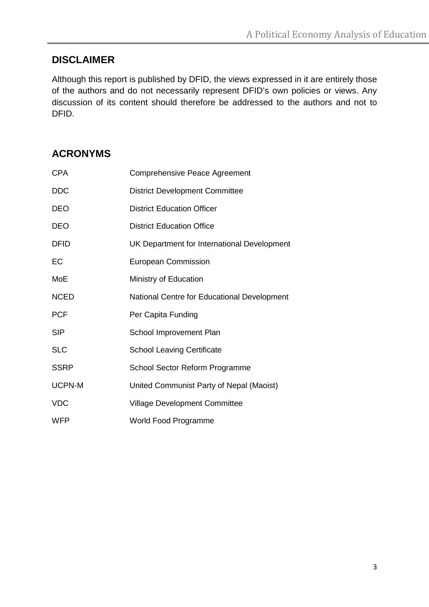# **DISCLAIMER**

Although this report is published by DFID, the views expressed in it are entirely those of the authors and do not necessarily represent DFID's own policies or views. Any discussion of its content should therefore be addressed to the authors and not to DFID.

# **ACRONYMS**

| <b>CPA</b>    | <b>Comprehensive Peace Agreement</b>        |
|---------------|---------------------------------------------|
| <b>DDC</b>    | <b>District Development Committee</b>       |
| <b>DEO</b>    | <b>District Education Officer</b>           |
| <b>DEO</b>    | <b>District Education Office</b>            |
| <b>DFID</b>   | UK Department for International Development |
| EC            | <b>European Commission</b>                  |
| MoE           | Ministry of Education                       |
| <b>NCED</b>   | National Centre for Educational Development |
| <b>PCF</b>    | Per Capita Funding                          |
| <b>SIP</b>    | School Improvement Plan                     |
| <b>SLC</b>    | <b>School Leaving Certificate</b>           |
| <b>SSRP</b>   | School Sector Reform Programme              |
| <b>UCPN-M</b> | United Communist Party of Nepal (Maoist)    |
| <b>VDC</b>    | <b>Village Development Committee</b>        |
| <b>WFP</b>    | World Food Programme                        |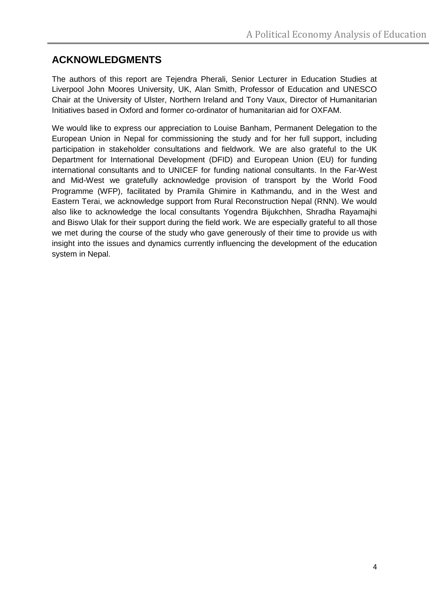# **ACKNOWLEDGMENTS**

The authors of this report are Tejendra Pherali, Senior Lecturer in Education Studies at Liverpool John Moores University, UK, Alan Smith, Professor of Education and UNESCO Chair at the University of Ulster, Northern Ireland and Tony Vaux, Director of Humanitarian Initiatives based in Oxford and former co-ordinator of humanitarian aid for OXFAM.

We would like to express our appreciation to Louise Banham, Permanent Delegation to the European Union in Nepal for commissioning the study and for her full support, including participation in stakeholder consultations and fieldwork. We are also grateful to the UK Department for International Development (DFID) and European Union (EU) for funding international consultants and to UNICEF for funding national consultants. In the Far-West and Mid-West we gratefully acknowledge provision of transport by the World Food Programme (WFP), facilitated by Pramila Ghimire in Kathmandu, and in the West and Eastern Terai, we acknowledge support from Rural Reconstruction Nepal (RNN). We would also like to acknowledge the local consultants Yogendra Bijukchhen, Shradha Rayamajhi and Biswo Ulak for their support during the field work. We are especially grateful to all those we met during the course of the study who gave generously of their time to provide us with insight into the issues and dynamics currently influencing the development of the education system in Nepal.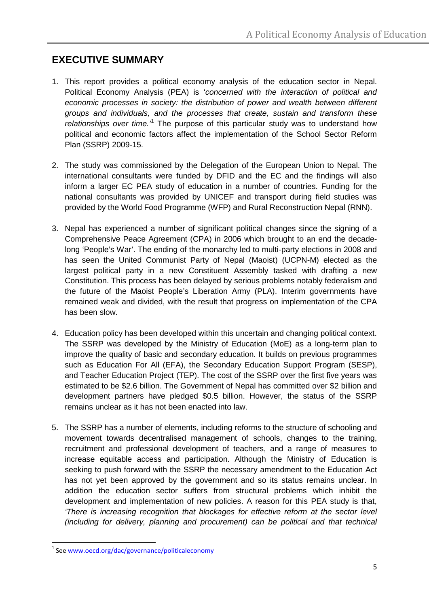# **EXECUTIVE SUMMARY**

- 1. This report provides a political economy analysis of the education sector in Nepal. Political Economy Analysis (PEA) is '*concerned with the interaction of political and economic processes in society: the distribution of power and wealth between different groups and individuals, and the processes that create, sustain and transform these relationships over time.'*[1](#page-4-0) The purpose of this particular study was to understand how political and economic factors affect the implementation of the School Sector Reform Plan (SSRP) 2009-15.
- 2. The study was commissioned by the Delegation of the European Union to Nepal. The international consultants were funded by DFID and the EC and the findings will also inform a larger EC PEA study of education in a number of countries. Funding for the national consultants was provided by UNICEF and transport during field studies was provided by the World Food Programme (WFP) and Rural Reconstruction Nepal (RNN).
- 3. Nepal has experienced a number of significant political changes since the signing of a Comprehensive Peace Agreement (CPA) in 2006 which brought to an end the decadelong 'People's War'. The ending of the monarchy led to multi-party elections in 2008 and has seen the United Communist Party of Nepal (Maoist) (UCPN-M) elected as the largest political party in a new Constituent Assembly tasked with drafting a new Constitution. This process has been delayed by serious problems notably federalism and the future of the Maoist People's Liberation Army (PLA). Interim governments have remained weak and divided, with the result that progress on implementation of the CPA has been slow.
- 4. Education policy has been developed within this uncertain and changing political context. The SSRP was developed by the Ministry of Education (MoE) as a long-term plan to improve the quality of basic and secondary education. It builds on previous programmes such as Education For All (EFA), the Secondary Education Support Program (SESP), and Teacher Education Project (TEP). The cost of the SSRP over the first five years was estimated to be \$2.6 billion. The Government of Nepal has committed over \$2 billion and development partners have pledged \$0.5 billion. However, the status of the SSRP remains unclear as it has not been enacted into law.
- 5. The SSRP has a number of elements, including reforms to the structure of schooling and movement towards decentralised management of schools, changes to the training, recruitment and professional development of teachers, and a range of measures to increase equitable access and participation. Although the Ministry of Education is seeking to push forward with the SSRP the necessary amendment to the Education Act has not yet been approved by the government and so its status remains unclear. In addition the education sector suffers from structural problems which inhibit the development and implementation of new policies. A reason for this PEA study is that, *'There is increasing recognition that blockages for effective reform at the sector level (including for delivery, planning and procurement) can be political and that technical*

<span id="page-4-0"></span> <sup>1</sup> See [www.oecd.org/dac/governance/politicaleconomy](http://www.oecd.org/dac/governance/politicaleconomy)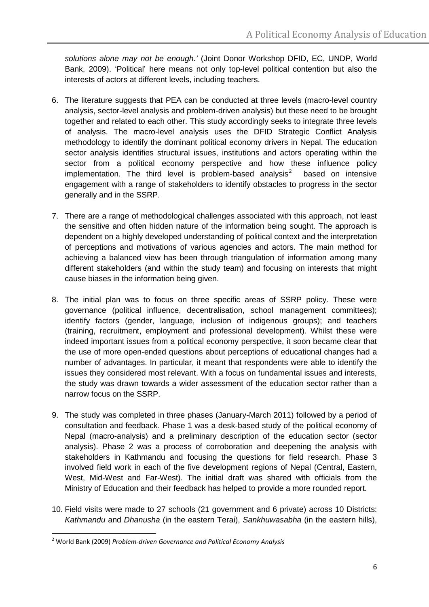*solutions alone may not be enough.'* (Joint Donor Workshop DFID, EC, UNDP, World Bank, 2009). 'Political' here means not only top-level political contention but also the interests of actors at different levels, including teachers.

- 6. The literature suggests that PEA can be conducted at three levels (macro-level country analysis, sector-level analysis and problem-driven analysis) but these need to be brought together and related to each other. This study accordingly seeks to integrate three levels of analysis. The macro-level analysis uses the DFID Strategic Conflict Analysis methodology to identify the dominant political economy drivers in Nepal. The education sector analysis identifies structural issues, institutions and actors operating within the sector from a political economy perspective and how these influence policy implementation. The third level is problem-based analysis<sup>[2](#page-5-0)</sup> based on intensive engagement with a range of stakeholders to identify obstacles to progress in the sector generally and in the SSRP.
- 7. There are a range of methodological challenges associated with this approach, not least the sensitive and often hidden nature of the information being sought. The approach is dependent on a highly developed understanding of political context and the interpretation of perceptions and motivations of various agencies and actors. The main method for achieving a balanced view has been through triangulation of information among many different stakeholders (and within the study team) and focusing on interests that might cause biases in the information being given.
- 8. The initial plan was to focus on three specific areas of SSRP policy. These were governance (political influence, decentralisation, school management committees); identify factors (gender, language, inclusion of indigenous groups); and teachers (training, recruitment, employment and professional development). Whilst these were indeed important issues from a political economy perspective, it soon became clear that the use of more open-ended questions about perceptions of educational changes had a number of advantages. In particular, it meant that respondents were able to identify the issues they considered most relevant. With a focus on fundamental issues and interests, the study was drawn towards a wider assessment of the education sector rather than a narrow focus on the SSRP.
- 9. The study was completed in three phases (January-March 2011) followed by a period of consultation and feedback. Phase 1 was a desk-based study of the political economy of Nepal (macro-analysis) and a preliminary description of the education sector (sector analysis). Phase 2 was a process of corroboration and deepening the analysis with stakeholders in Kathmandu and focusing the questions for field research. Phase 3 involved field work in each of the five development regions of Nepal (Central, Eastern, West, Mid-West and Far-West). The initial draft was shared with officials from the Ministry of Education and their feedback has helped to provide a more rounded report.
- 10. Field visits were made to 27 schools (21 government and 6 private) across 10 Districts: *Kathmandu* and *Dhanusha* (in the eastern Terai), *Sankhuwasabha* (in the eastern hills),

<span id="page-5-0"></span> <sup>2</sup> World Bank (2009) *Problem-driven Governance and Political Economy Analysis*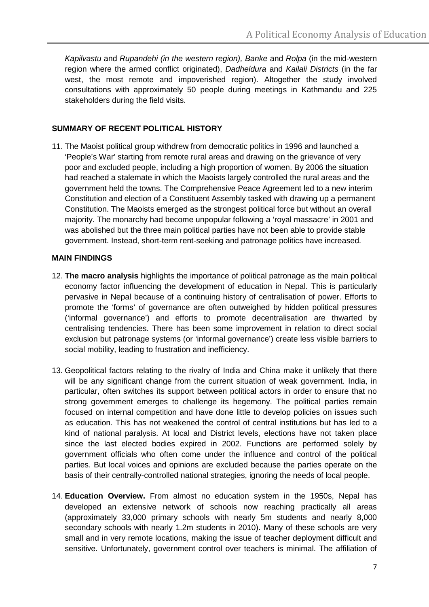*Kapilvastu* and *Rupandehi (in the western region), Banke* and *Rolpa* (in the mid-western region where the armed conflict originated), *Dadheldura* and *Kailali Districts* (in the far west, the most remote and impoverished region). Altogether the study involved consultations with approximately 50 people during meetings in Kathmandu and 225 stakeholders during the field visits.

#### **SUMMARY OF RECENT POLITICAL HISTORY**

11. The Maoist political group withdrew from democratic politics in 1996 and launched a 'People's War' starting from remote rural areas and drawing on the grievance of very poor and excluded people, including a high proportion of women. By 2006 the situation had reached a stalemate in which the Maoists largely controlled the rural areas and the government held the towns. The Comprehensive Peace Agreement led to a new interim Constitution and election of a Constituent Assembly tasked with drawing up a permanent Constitution. The Maoists emerged as the strongest political force but without an overall majority. The monarchy had become unpopular following a 'royal massacre' in 2001 and was abolished but the three main political parties have not been able to provide stable government. Instead, short-term rent-seeking and patronage politics have increased.

#### **MAIN FINDINGS**

- 12. **The macro analysis** highlights the importance of political patronage as the main political economy factor influencing the development of education in Nepal. This is particularly pervasive in Nepal because of a continuing history of centralisation of power. Efforts to promote the 'forms' of governance are often outweighed by hidden political pressures ('informal governance') and efforts to promote decentralisation are thwarted by centralising tendencies. There has been some improvement in relation to direct social exclusion but patronage systems (or 'informal governance') create less visible barriers to social mobility, leading to frustration and inefficiency.
- 13. Geopolitical factors relating to the rivalry of India and China make it unlikely that there will be any significant change from the current situation of weak government. India, in particular, often switches its support between political actors in order to ensure that no strong government emerges to challenge its hegemony. The political parties remain focused on internal competition and have done little to develop policies on issues such as education. This has not weakened the control of central institutions but has led to a kind of national paralysis. At local and District levels, elections have not taken place since the last elected bodies expired in 2002. Functions are performed solely by government officials who often come under the influence and control of the political parties. But local voices and opinions are excluded because the parties operate on the basis of their centrally-controlled national strategies, ignoring the needs of local people.
- 14. **Education Overview.** From almost no education system in the 1950s, Nepal has developed an extensive network of schools now reaching practically all areas (approximately 33,000 primary schools with nearly 5m students and nearly 8,000 secondary schools with nearly 1.2m students in 2010). Many of these schools are very small and in very remote locations, making the issue of teacher deployment difficult and sensitive. Unfortunately, government control over teachers is minimal. The affiliation of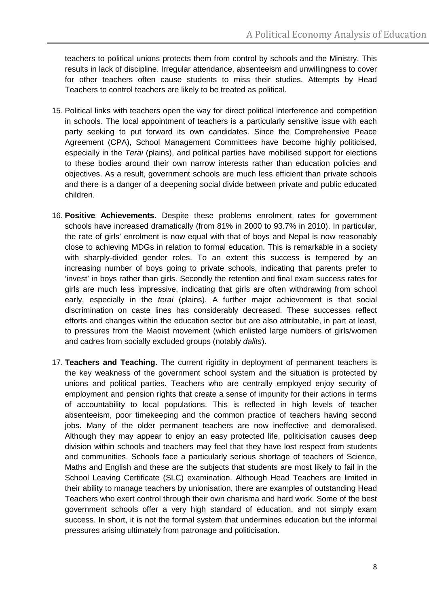teachers to political unions protects them from control by schools and the Ministry. This results in lack of discipline. Irregular attendance, absenteeism and unwillingness to cover for other teachers often cause students to miss their studies. Attempts by Head Teachers to control teachers are likely to be treated as political.

- 15. Political links with teachers open the way for direct political interference and competition in schools. The local appointment of teachers is a particularly sensitive issue with each party seeking to put forward its own candidates. Since the Comprehensive Peace Agreement (CPA), School Management Committees have become highly politicised, especially in the *Terai* (plains), and political parties have mobilised support for elections to these bodies around their own narrow interests rather than education policies and objectives. As a result, government schools are much less efficient than private schools and there is a danger of a deepening social divide between private and public educated children.
- 16. **Positive Achievements.** Despite these problems enrolment rates for government schools have increased dramatically (from 81% in 2000 to 93.7% in 2010). In particular, the rate of girls' enrolment is now equal with that of boys and Nepal is now reasonably close to achieving MDGs in relation to formal education. This is remarkable in a society with sharply-divided gender roles. To an extent this success is tempered by an increasing number of boys going to private schools, indicating that parents prefer to 'invest' in boys rather than girls. Secondly the retention and final exam success rates for girls are much less impressive, indicating that girls are often withdrawing from school early, especially in the *terai* (plains). A further major achievement is that social discrimination on caste lines has considerably decreased. These successes reflect efforts and changes within the education sector but are also attributable, in part at least, to pressures from the Maoist movement (which enlisted large numbers of girls/women and cadres from socially excluded groups (notably *dalits*).
- 17. **Teachers and Teaching.** The current rigidity in deployment of permanent teachers is the key weakness of the government school system and the situation is protected by unions and political parties. Teachers who are centrally employed enjoy security of employment and pension rights that create a sense of impunity for their actions in terms of accountability to local populations. This is reflected in high levels of teacher absenteeism, poor timekeeping and the common practice of teachers having second jobs. Many of the older permanent teachers are now ineffective and demoralised. Although they may appear to enjoy an easy protected life, politicisation causes deep division within schools and teachers may feel that they have lost respect from students and communities. Schools face a particularly serious shortage of teachers of Science, Maths and English and these are the subjects that students are most likely to fail in the School Leaving Certificate (SLC) examination. Although Head Teachers are limited in their ability to manage teachers by unionisation, there are examples of outstanding Head Teachers who exert control through their own charisma and hard work. Some of the best government schools offer a very high standard of education, and not simply exam success. In short, it is not the formal system that undermines education but the informal pressures arising ultimately from patronage and politicisation.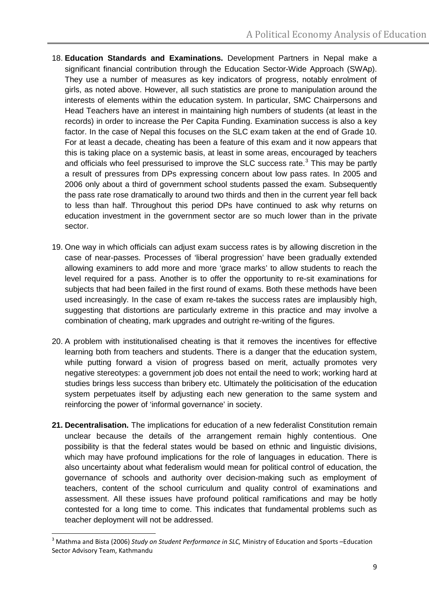- 18. **Education Standards and Examinations.** Development Partners in Nepal make a significant financial contribution through the Education Sector-Wide Approach (SWAp). They use a number of measures as key indicators of progress, notably enrolment of girls, as noted above. However, all such statistics are prone to manipulation around the interests of elements within the education system. In particular, SMC Chairpersons and Head Teachers have an interest in maintaining high numbers of students (at least in the records) in order to increase the Per Capita Funding. Examination success is also a key factor. In the case of Nepal this focuses on the SLC exam taken at the end of Grade 10. For at least a decade, cheating has been a feature of this exam and it now appears that this is taking place on a systemic basis, at least in some areas, encouraged by teachers and officials who feel pressurised to improve the SLC success rate. $3$  This may be partly a result of pressures from DPs expressing concern about low pass rates. In 2005 and 2006 only about a third of government school students passed the exam. Subsequently the pass rate rose dramatically to around two thirds and then in the current year fell back to less than half. Throughout this period DPs have continued to ask why returns on education investment in the government sector are so much lower than in the private sector.
- 19. One way in which officials can adjust exam success rates is by allowing discretion in the case of near-passes. Processes of 'liberal progression' have been gradually extended allowing examiners to add more and more 'grace marks' to allow students to reach the level required for a pass. Another is to offer the opportunity to re-sit examinations for subjects that had been failed in the first round of exams. Both these methods have been used increasingly. In the case of exam re-takes the success rates are implausibly high, suggesting that distortions are particularly extreme in this practice and may involve a combination of cheating, mark upgrades and outright re-writing of the figures.
- 20. A problem with institutionalised cheating is that it removes the incentives for effective learning both from teachers and students. There is a danger that the education system, while putting forward a vision of progress based on merit, actually promotes very negative stereotypes: a government job does not entail the need to work; working hard at studies brings less success than bribery etc. Ultimately the politicisation of the education system perpetuates itself by adjusting each new generation to the same system and reinforcing the power of 'informal governance' in society.
- **21. Decentralisation.** The implications for education of a new federalist Constitution remain unclear because the details of the arrangement remain highly contentious. One possibility is that the federal states would be based on ethnic and linguistic divisions, which may have profound implications for the role of languages in education. There is also uncertainty about what federalism would mean for political control of education, the governance of schools and authority over decision-making such as employment of teachers, content of the school curriculum and quality control of examinations and assessment. All these issues have profound political ramifications and may be hotly contested for a long time to come. This indicates that fundamental problems such as teacher deployment will not be addressed.

<span id="page-8-0"></span> <sup>3</sup> Mathma and Bista (2006) *Study on Student Performance in SLC,* Ministry of Education and Sports –Education Sector Advisory Team, Kathmandu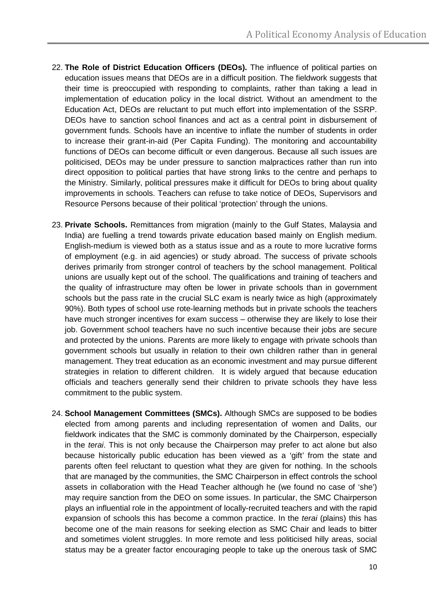- 22. **The Role of District Education Officers (DEOs).** The influence of political parties on education issues means that DEOs are in a difficult position. The fieldwork suggests that their time is preoccupied with responding to complaints, rather than taking a lead in implementation of education policy in the local district. Without an amendment to the Education Act, DEOs are reluctant to put much effort into implementation of the SSRP. DEOs have to sanction school finances and act as a central point in disbursement of government funds. Schools have an incentive to inflate the number of students in order to increase their grant-in-aid (Per Capita Funding). The monitoring and accountability functions of DEOs can become difficult or even dangerous. Because all such issues are politicised, DEOs may be under pressure to sanction malpractices rather than run into direct opposition to political parties that have strong links to the centre and perhaps to the Ministry. Similarly, political pressures make it difficult for DEOs to bring about quality improvements in schools. Teachers can refuse to take notice of DEOs, Supervisors and Resource Persons because of their political 'protection' through the unions.
- 23. **Private Schools.** Remittances from migration (mainly to the Gulf States, Malaysia and India) are fuelling a trend towards private education based mainly on English medium. English-medium is viewed both as a status issue and as a route to more lucrative forms of employment (e.g. in aid agencies) or study abroad. The success of private schools derives primarily from stronger control of teachers by the school management. Political unions are usually kept out of the school. The qualifications and training of teachers and the quality of infrastructure may often be lower in private schools than in government schools but the pass rate in the crucial SLC exam is nearly twice as high (approximately 90%). Both types of school use rote-learning methods but in private schools the teachers have much stronger incentives for exam success – otherwise they are likely to lose their job. Government school teachers have no such incentive because their jobs are secure and protected by the unions. Parents are more likely to engage with private schools than government schools but usually in relation to their own children rather than in general management. They treat education as an economic investment and may pursue different strategies in relation to different children. It is widely argued that because education officials and teachers generally send their children to private schools they have less commitment to the public system.
- 24. **School Management Committees (SMCs).** Although SMCs are supposed to be bodies elected from among parents and including representation of women and Dalits, our fieldwork indicates that the SMC is commonly dominated by the Chairperson, especially in the *terai*. This is not only because the Chairperson may prefer to act alone but also because historically public education has been viewed as a 'gift' from the state and parents often feel reluctant to question what they are given for nothing. In the schools that are managed by the communities, the SMC Chairperson in effect controls the school assets in collaboration with the Head Teacher although he (we found no case of 'she') may require sanction from the DEO on some issues. In particular, the SMC Chairperson plays an influential role in the appointment of locally-recruited teachers and with the rapid expansion of schools this has become a common practice. In the *terai* (plains) this has become one of the main reasons for seeking election as SMC Chair and leads to bitter and sometimes violent struggles. In more remote and less politicised hilly areas, social status may be a greater factor encouraging people to take up the onerous task of SMC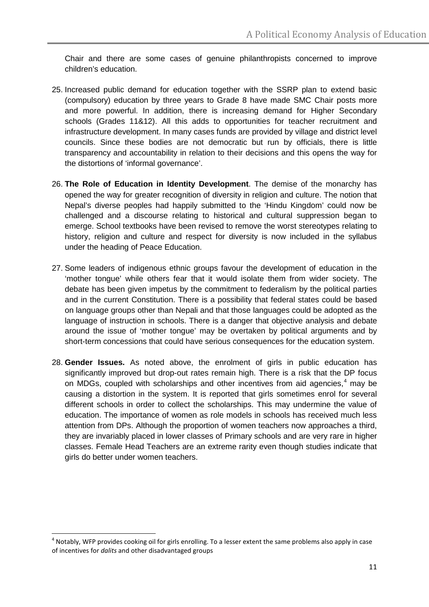Chair and there are some cases of genuine philanthropists concerned to improve children's education.

- 25. Increased public demand for education together with the SSRP plan to extend basic (compulsory) education by three years to Grade 8 have made SMC Chair posts more and more powerful. In addition, there is increasing demand for Higher Secondary schools (Grades 11&12). All this adds to opportunities for teacher recruitment and infrastructure development. In many cases funds are provided by village and district level councils. Since these bodies are not democratic but run by officials, there is little transparency and accountability in relation to their decisions and this opens the way for the distortions of 'informal governance'.
- 26. **The Role of Education in Identity Development**. The demise of the monarchy has opened the way for greater recognition of diversity in religion and culture. The notion that Nepal's diverse peoples had happily submitted to the 'Hindu Kingdom' could now be challenged and a discourse relating to historical and cultural suppression began to emerge. School textbooks have been revised to remove the worst stereotypes relating to history, religion and culture and respect for diversity is now included in the syllabus under the heading of Peace Education.
- 27. Some leaders of indigenous ethnic groups favour the development of education in the 'mother tongue' while others fear that it would isolate them from wider society. The debate has been given impetus by the commitment to federalism by the political parties and in the current Constitution. There is a possibility that federal states could be based on language groups other than Nepali and that those languages could be adopted as the language of instruction in schools. There is a danger that objective analysis and debate around the issue of 'mother tongue' may be overtaken by political arguments and by short-term concessions that could have serious consequences for the education system.
- 28. **Gender Issues.** As noted above, the enrolment of girls in public education has significantly improved but drop-out rates remain high. There is a risk that the DP focus on MDGs, coupled with scholarships and other incentives from aid agencies,<sup>[4](#page-10-0)</sup> may be causing a distortion in the system. It is reported that girls sometimes enrol for several different schools in order to collect the scholarships. This may undermine the value of education. The importance of women as role models in schools has received much less attention from DPs. Although the proportion of women teachers now approaches a third, they are invariably placed in lower classes of Primary schools and are very rare in higher classes. Female Head Teachers are an extreme rarity even though studies indicate that girls do better under women teachers.

<span id="page-10-0"></span> $<sup>4</sup>$  Notably, WFP provides cooking oil for girls enrolling. To a lesser extent the same problems also apply in case</sup> of incentives for *dalits* and other disadvantaged groups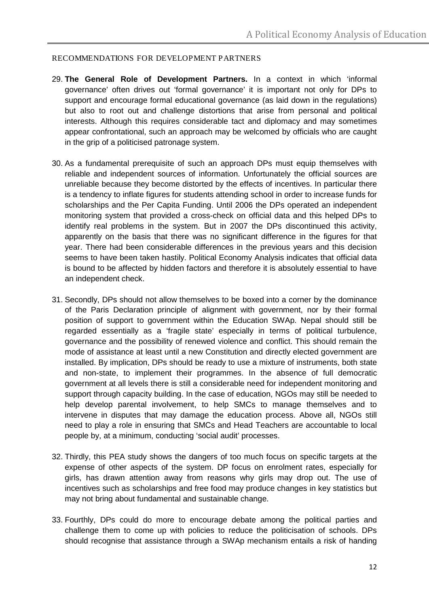#### RECOMMENDATIONS FOR DEVELOPMENT PARTNERS

- 29. **The General Role of Development Partners.** In a context in which 'informal governance' often drives out 'formal governance' it is important not only for DPs to support and encourage formal educational governance (as laid down in the regulations) but also to root out and challenge distortions that arise from personal and political interests. Although this requires considerable tact and diplomacy and may sometimes appear confrontational, such an approach may be welcomed by officials who are caught in the grip of a politicised patronage system.
- 30. As a fundamental prerequisite of such an approach DPs must equip themselves with reliable and independent sources of information. Unfortunately the official sources are unreliable because they become distorted by the effects of incentives. In particular there is a tendency to inflate figures for students attending school in order to increase funds for scholarships and the Per Capita Funding. Until 2006 the DPs operated an independent monitoring system that provided a cross-check on official data and this helped DPs to identify real problems in the system. But in 2007 the DPs discontinued this activity, apparently on the basis that there was no significant difference in the figures for that year. There had been considerable differences in the previous years and this decision seems to have been taken hastily. Political Economy Analysis indicates that official data is bound to be affected by hidden factors and therefore it is absolutely essential to have an independent check.
- 31. Secondly, DPs should not allow themselves to be boxed into a corner by the dominance of the Paris Declaration principle of alignment with government, nor by their formal position of support to government within the Education SWAp. Nepal should still be regarded essentially as a 'fragile state' especially in terms of political turbulence, governance and the possibility of renewed violence and conflict. This should remain the mode of assistance at least until a new Constitution and directly elected government are installed. By implication, DPs should be ready to use a mixture of instruments, both state and non-state, to implement their programmes. In the absence of full democratic government at all levels there is still a considerable need for independent monitoring and support through capacity building. In the case of education, NGOs may still be needed to help develop parental involvement, to help SMCs to manage themselves and to intervene in disputes that may damage the education process. Above all, NGOs still need to play a role in ensuring that SMCs and Head Teachers are accountable to local people by, at a minimum, conducting 'social audit' processes.
- 32. Thirdly, this PEA study shows the dangers of too much focus on specific targets at the expense of other aspects of the system. DP focus on enrolment rates, especially for girls, has drawn attention away from reasons why girls may drop out. The use of incentives such as scholarships and free food may produce changes in key statistics but may not bring about fundamental and sustainable change.
- 33. Fourthly, DPs could do more to encourage debate among the political parties and challenge them to come up with policies to reduce the politicisation of schools. DPs should recognise that assistance through a SWAp mechanism entails a risk of handing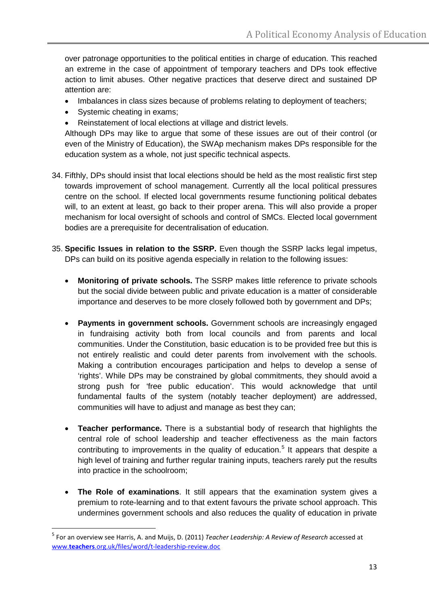over patronage opportunities to the political entities in charge of education. This reached an extreme in the case of appointment of temporary teachers and DPs took effective action to limit abuses. Other negative practices that deserve direct and sustained DP attention are:

- Imbalances in class sizes because of problems relating to deployment of teachers;
- Systemic cheating in exams;
- Reinstatement of local elections at village and district levels.

Although DPs may like to argue that some of these issues are out of their control (or even of the Ministry of Education), the SWAp mechanism makes DPs responsible for the education system as a whole, not just specific technical aspects.

- 34. Fifthly, DPs should insist that local elections should be held as the most realistic first step towards improvement of school management. Currently all the local political pressures centre on the school. If elected local governments resume functioning political debates will, to an extent at least, go back to their proper arena. This will also provide a proper mechanism for local oversight of schools and control of SMCs. Elected local government bodies are a prerequisite for decentralisation of education.
- 35. **Specific Issues in relation to the SSRP.** Even though the SSRP lacks legal impetus, DPs can build on its positive agenda especially in relation to the following issues:
	- **Monitoring of private schools.** The SSRP makes little reference to private schools but the social divide between public and private education is a matter of considerable importance and deserves to be more closely followed both by government and DPs;
	- **Payments in government schools.** Government schools are increasingly engaged in fundraising activity both from local councils and from parents and local communities. Under the Constitution, basic education is to be provided free but this is not entirely realistic and could deter parents from involvement with the schools. Making a contribution encourages participation and helps to develop a sense of 'rights'. While DPs may be constrained by global commitments, they should avoid a strong push for 'free public education'. This would acknowledge that until fundamental faults of the system (notably teacher deployment) are addressed, communities will have to adjust and manage as best they can;
	- **Teacher performance.** There is a substantial body of research that highlights the central role of school leadership and teacher effectiveness as the main factors contributing to improvements in the quality of education.<sup>[5](#page-12-0)</sup> It appears that despite a high level of training and further regular training inputs, teachers rarely put the results into practice in the schoolroom;
	- **The Role of examinations**. It still appears that the examination system gives a premium to rote-learning and to that extent favours the private school approach. This undermines government schools and also reduces the quality of education in private

<span id="page-12-0"></span> <sup>5</sup> For an overview see Harris, A. and Muijs, D. (2011) *Teacher Leadership: A Review of Research* accessed at www.**teachers**[.org.uk/files/word/t-leadership-review.doc](http://www.teachers.org.uk/files/word/t-leadership-review.doc)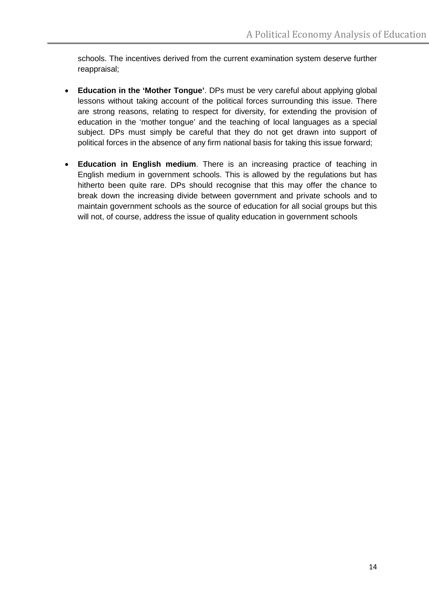schools. The incentives derived from the current examination system deserve further reappraisal;

- **Education in the 'Mother Tongue'**. DPs must be very careful about applying global lessons without taking account of the political forces surrounding this issue. There are strong reasons, relating to respect for diversity, for extending the provision of education in the 'mother tongue' and the teaching of local languages as a special subject. DPs must simply be careful that they do not get drawn into support of political forces in the absence of any firm national basis for taking this issue forward;
- **Education in English medium**. There is an increasing practice of teaching in English medium in government schools. This is allowed by the regulations but has hitherto been quite rare. DPs should recognise that this may offer the chance to break down the increasing divide between government and private schools and to maintain government schools as the source of education for all social groups but this will not, of course, address the issue of quality education in government schools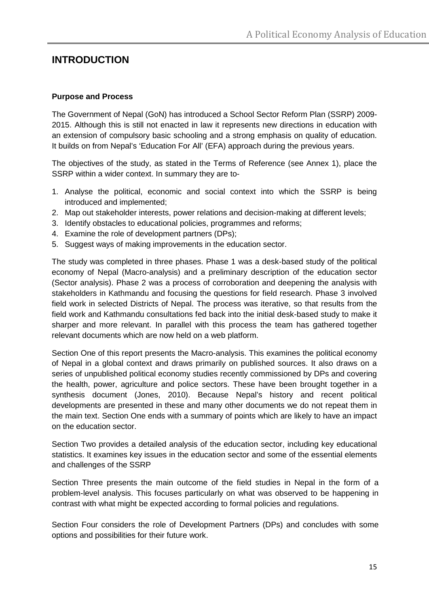# **INTRODUCTION**

#### **Purpose and Process**

The Government of Nepal (GoN) has introduced a School Sector Reform Plan (SSRP) 2009- 2015. Although this is still not enacted in law it represents new directions in education with an extension of compulsory basic schooling and a strong emphasis on quality of education. It builds on from Nepal's 'Education For All' (EFA) approach during the previous years.

The objectives of the study, as stated in the Terms of Reference (see Annex 1), place the SSRP within a wider context. In summary they are to-

- 1. Analyse the political, economic and social context into which the SSRP is being introduced and implemented;
- 2. Map out stakeholder interests, power relations and decision-making at different levels;
- 3. Identify obstacles to educational policies, programmes and reforms;
- 4. Examine the role of development partners (DPs);
- 5. Suggest ways of making improvements in the education sector.

The study was completed in three phases. Phase 1 was a desk-based study of the political economy of Nepal (Macro-analysis) and a preliminary description of the education sector (Sector analysis). Phase 2 was a process of corroboration and deepening the analysis with stakeholders in Kathmandu and focusing the questions for field research. Phase 3 involved field work in selected Districts of Nepal. The process was iterative, so that results from the field work and Kathmandu consultations fed back into the initial desk-based study to make it sharper and more relevant. In parallel with this process the team has gathered together relevant documents which are now held on a web platform.

Section One of this report presents the Macro-analysis. This examines the political economy of Nepal in a global context and draws primarily on published sources. It also draws on a series of unpublished political economy studies recently commissioned by DPs and covering the health, power, agriculture and police sectors. These have been brought together in a synthesis document (Jones, 2010). Because Nepal's history and recent political developments are presented in these and many other documents we do not repeat them in the main text. Section One ends with a summary of points which are likely to have an impact on the education sector.

Section Two provides a detailed analysis of the education sector, including key educational statistics. It examines key issues in the education sector and some of the essential elements and challenges of the SSRP

Section Three presents the main outcome of the field studies in Nepal in the form of a problem-level analysis. This focuses particularly on what was observed to be happening in contrast with what might be expected according to formal policies and regulations.

Section Four considers the role of Development Partners (DPs) and concludes with some options and possibilities for their future work.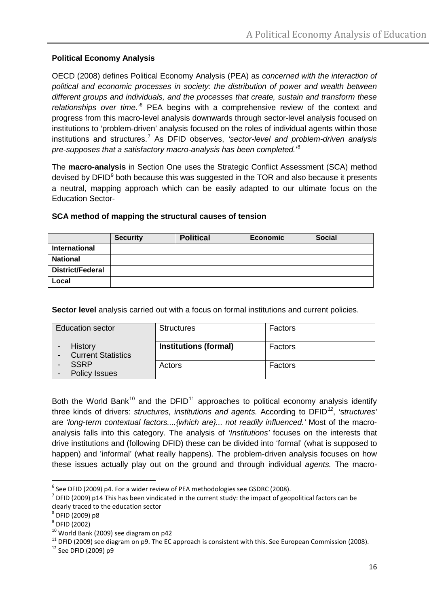## **Political Economy Analysis**

OECD (2008) defines Political Economy Analysis (PEA) as *concerned with the interaction of political and economic processes in society: the distribution of power and wealth between different groups and individuals, and the processes that create, sustain and transform these relationships over time.'*[6](#page-15-0) PEA begins with a comprehensive review of the context and progress from this macro-level analysis downwards through sector-level analysis focused on institutions to 'problem-driven' analysis focused on the roles of individual agents within those institutions and structures. [7](#page-15-1) As DFID observes, *'sector-level and problem-driven analysis pre-supposes that a satisfactory macro-analysis has been completed.*' [8](#page-15-2)

The **macro-analysis** in Section One uses the Strategic Conflict Assessment (SCA) method devised by DFID<sup>[9](#page-15-3)</sup> both because this was suggested in the TOR and also because it presents a neutral, mapping approach which can be easily adapted to our ultimate focus on the Education Sector-

|                         | <b>Security</b> | <b>Political</b> | <b>Economic</b> | <b>Social</b> |
|-------------------------|-----------------|------------------|-----------------|---------------|
| International           |                 |                  |                 |               |
| <b>National</b>         |                 |                  |                 |               |
| <b>District/Federal</b> |                 |                  |                 |               |
| Local                   |                 |                  |                 |               |

#### **SCA method of mapping the structural causes of tension**

**Sector level** analysis carried out with a focus on formal institutions and current policies.

| <b>Education sector</b>              | <b>Structures</b>            | Factors |
|--------------------------------------|------------------------------|---------|
| History<br><b>Current Statistics</b> | <b>Institutions (formal)</b> | Factors |
| <b>SSRP</b><br><b>Policy Issues</b>  | Actors                       | Factors |

Both the World Bank<sup>[10](#page-15-4)</sup> and the DFID<sup>[11](#page-15-5)</sup> approaches to political economy analysis identify three kinds of drivers: *structures, institutions and agents.* According to DFID*[12](#page-15-6)* , 's*tructures'* are *'long-term contextual factors....{which are}... not readily influenced.'* Most of the macroanalysis falls into this category. The analysis of *'Institutions'* focuses on the interests that drive institutions and (following DFID) these can be divided into 'formal' (what is supposed to happen) and 'informal' (what really happens). The problem-driven analysis focuses on how these issues actually play out on the ground and through individual *agents.* The macro-

<span id="page-15-0"></span> $6$  See DFID (2009) p4. For a wider review of PEA methodologies see GSDRC (2008).

<span id="page-15-1"></span> $^7$  DFID (2009) p14 This has been vindicated in the current study: the impact of geopolitical factors can be clearly traced to the education sector  $^8$  DFID (2009) p8

<span id="page-15-3"></span><span id="page-15-2"></span> $^{9}$  DFID (2002)<br> $^{10}$  World Bank (2009) see diagram on p42

<span id="page-15-6"></span><span id="page-15-5"></span><span id="page-15-4"></span><sup>&</sup>lt;sup>11</sup> DFID (2009) see diagram on p9. The EC approach is consistent with this. See European Commission (2008). <sup>12</sup> See DFID (2009) p9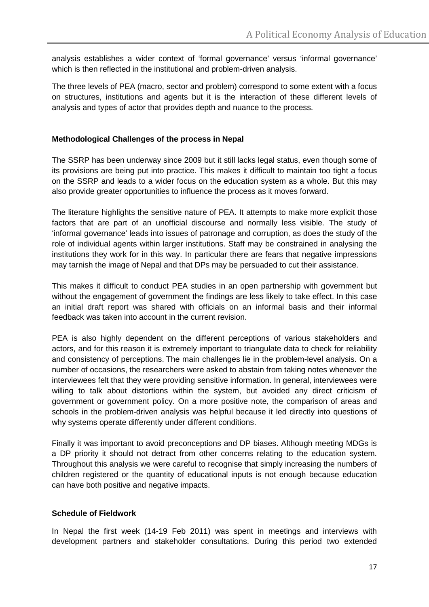analysis establishes a wider context of 'formal governance' versus 'informal governance' which is then reflected in the institutional and problem-driven analysis.

The three levels of PEA (macro, sector and problem) correspond to some extent with a focus on structures, institutions and agents but it is the interaction of these different levels of analysis and types of actor that provides depth and nuance to the process.

#### **Methodological Challenges of the process in Nepal**

The SSRP has been underway since 2009 but it still lacks legal status, even though some of its provisions are being put into practice. This makes it difficult to maintain too tight a focus on the SSRP and leads to a wider focus on the education system as a whole. But this may also provide greater opportunities to influence the process as it moves forward.

The literature highlights the sensitive nature of PEA. It attempts to make more explicit those factors that are part of an unofficial discourse and normally less visible. The study of 'informal governance' leads into issues of patronage and corruption, as does the study of the role of individual agents within larger institutions. Staff may be constrained in analysing the institutions they work for in this way. In particular there are fears that negative impressions may tarnish the image of Nepal and that DPs may be persuaded to cut their assistance.

This makes it difficult to conduct PEA studies in an open partnership with government but without the engagement of government the findings are less likely to take effect. In this case an initial draft report was shared with officials on an informal basis and their informal feedback was taken into account in the current revision.

PEA is also highly dependent on the different perceptions of various stakeholders and actors, and for this reason it is extremely important to triangulate data to check for reliability and consistency of perceptions. The main challenges lie in the problem-level analysis. On a number of occasions, the researchers were asked to abstain from taking notes whenever the interviewees felt that they were providing sensitive information. In general, interviewees were willing to talk about distortions within the system, but avoided any direct criticism of government or government policy. On a more positive note, the comparison of areas and schools in the problem-driven analysis was helpful because it led directly into questions of why systems operate differently under different conditions.

Finally it was important to avoid preconceptions and DP biases. Although meeting MDGs is a DP priority it should not detract from other concerns relating to the education system. Throughout this analysis we were careful to recognise that simply increasing the numbers of children registered or the quantity of educational inputs is not enough because education can have both positive and negative impacts.

#### **Schedule of Fieldwork**

In Nepal the first week (14-19 Feb 2011) was spent in meetings and interviews with development partners and stakeholder consultations. During this period two extended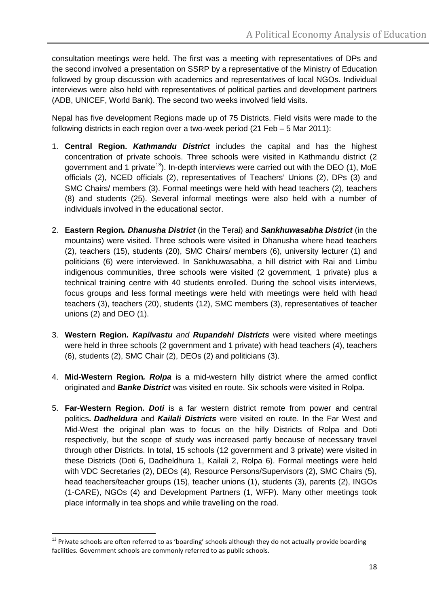consultation meetings were held. The first was a meeting with representatives of DPs and the second involved a presentation on SSRP by a representative of the Ministry of Education followed by group discussion with academics and representatives of local NGOs. Individual interviews were also held with representatives of political parties and development partners (ADB, UNICEF, World Bank). The second two weeks involved field visits.

Nepal has five development Regions made up of 75 Districts. Field visits were made to the following districts in each region over a two-week period (21 Feb – 5 Mar 2011):

- 1. **Central Region.** *Kathmandu District* includes the capital and has the highest concentration of private schools. Three schools were visited in Kathmandu district (2 government and 1 private<sup>13</sup>). In-depth interviews were carried out with the DEO (1), MoE officials (2), NCED officials (2), representatives of Teachers' Unions (2), DPs (3) and SMC Chairs/ members (3). Formal meetings were held with head teachers (2), teachers (8) and students (25). Several informal meetings were also held with a number of individuals involved in the educational sector.
- 2. **Eastern Region***. Dhanusha District* (in the Terai) and *Sankhuwasabha District* (in the mountains) were visited. Three schools were visited in Dhanusha where head teachers (2), teachers (15), students (20), SMC Chairs/ members (6), university lecturer (1) and politicians (6) were interviewed. In Sankhuwasabha, a hill district with Rai and Limbu indigenous communities, three schools were visited (2 government, 1 private) plus a technical training centre with 40 students enrolled. During the school visits interviews, focus groups and less formal meetings were held with meetings were held with head teachers (3), teachers (20), students (12), SMC members (3), representatives of teacher unions (2) and DEO (1).
- 3. **Western Region***. Kapilvastu and Rupandehi Districts* were visited where meetings were held in three schools (2 government and 1 private) with head teachers (4), teachers (6), students (2), SMC Chair (2), DEOs (2) and politicians (3).
- 4. **Mid-Western Region***. Rolpa* is a mid-western hilly district where the armed conflict originated and *Banke District* was visited en route. Six schools were visited in Rolpa.
- 5. **Far-Western Region.** *Doti* is a far western district remote from power and central politics**.** *Dadheldura* and *Kailali Districts* were visited en route. In the Far West and Mid-West the original plan was to focus on the hilly Districts of Rolpa and Doti respectively, but the scope of study was increased partly because of necessary travel through other Districts. In total, 15 schools (12 government and 3 private) were visited in these Districts (Doti 6, Dadheldhura 1, Kailali 2, Rolpa 6). Formal meetings were held with VDC Secretaries (2), DEOs (4), Resource Persons/Supervisors (2), SMC Chairs (5), head teachers/teacher groups (15), teacher unions (1), students (3), parents (2), INGOs (1-CARE), NGOs (4) and Development Partners (1, WFP). Many other meetings took place informally in tea shops and while travelling on the road.

<span id="page-17-0"></span><sup>&</sup>lt;sup>13</sup> Private schools are often referred to as 'boarding' schools although they do not actually provide boarding facilities. Government schools are commonly referred to as public schools.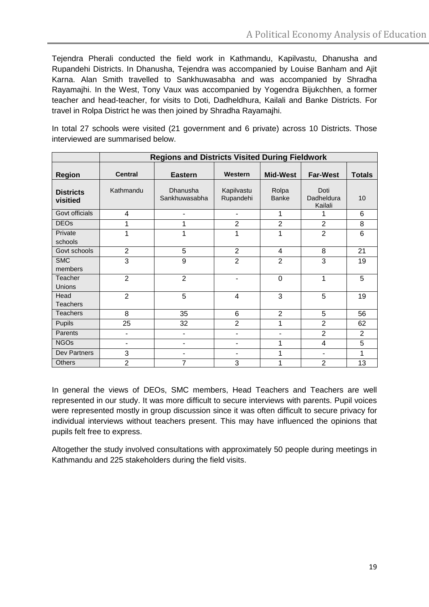Tejendra Pherali conducted the field work in Kathmandu, Kapilvastu, Dhanusha and Rupandehi Districts. In Dhanusha, Tejendra was accompanied by Louise Banham and Ajit Karna. Alan Smith travelled to Sankhuwasabha and was accompanied by Shradha Rayamajhi. In the West, Tony Vaux was accompanied by Yogendra Bijukchhen, a former teacher and head-teacher, for visits to Doti, Dadheldhura, Kailali and Banke Districts. For travel in Rolpa District he was then joined by Shradha Rayamajhi.

In total 27 schools were visited (21 government and 6 private) across 10 Districts. Those interviewed are summarised below.

|                              | <b>Regions and Districts Visited During Fieldwork</b> |                           |                          |                          |                               |                |  |  |  |
|------------------------------|-------------------------------------------------------|---------------------------|--------------------------|--------------------------|-------------------------------|----------------|--|--|--|
| <b>Region</b>                | <b>Central</b>                                        | <b>Eastern</b>            | Western                  | <b>Mid-West</b>          | <b>Far-West</b>               | <b>Totals</b>  |  |  |  |
| <b>Districts</b><br>visitied | Kathmandu                                             | Dhanusha<br>Sankhuwasabha | Kapilvastu<br>Rupandehi  | Rolpa<br><b>Banke</b>    | Doti<br>Dadheldura<br>Kailali | 10             |  |  |  |
| Govt officials               | 4                                                     | ۰                         | -                        | 1                        | 1                             | 6              |  |  |  |
| <b>DEOs</b>                  |                                                       | 1                         | $\overline{2}$           | $\overline{2}$           | $\overline{2}$                | 8              |  |  |  |
| Private<br>schools           | 1                                                     | 1                         | 1                        | 1                        | $\overline{2}$                | 6              |  |  |  |
| Govt schools                 | $\overline{2}$                                        | 5                         | $\overline{2}$           | 4                        | 8                             | 21             |  |  |  |
| <b>SMC</b><br>members        | 3                                                     | 9                         | $\overline{2}$           | $\overline{2}$           | 3                             | 19             |  |  |  |
| <b>Teacher</b><br>Unions     | $\overline{2}$                                        | $\overline{2}$            | $\blacksquare$           | $\mathbf 0$              | 1                             | 5              |  |  |  |
| Head<br><b>Teachers</b>      | $\overline{2}$                                        | 5                         | $\overline{4}$           | 3                        | 5                             | 19             |  |  |  |
| <b>Teachers</b>              | 8                                                     | 35                        | 6                        | $\overline{2}$           | 5                             | 56             |  |  |  |
| Pupils                       | 25                                                    | 32                        | $\overline{2}$           | 1                        | $\overline{2}$                | 62             |  |  |  |
| Parents                      | -                                                     | ٠                         | -                        | $\overline{\phantom{a}}$ | $\overline{2}$                | $\overline{2}$ |  |  |  |
| <b>NGOs</b>                  | $\blacksquare$                                        | ٠                         | $\overline{\phantom{a}}$ | 1                        | 4                             | 5              |  |  |  |
| Dev Partners                 | 3                                                     | ٠                         | -                        | 1                        | $\overline{\phantom{a}}$      | 1              |  |  |  |
| <b>Others</b>                | $\overline{2}$                                        | 7                         | 3                        | 1                        | $\overline{2}$                | 13             |  |  |  |

In general the views of DEOs, SMC members, Head Teachers and Teachers are well represented in our study. It was more difficult to secure interviews with parents. Pupil voices were represented mostly in group discussion since it was often difficult to secure privacy for individual interviews without teachers present. This may have influenced the opinions that pupils felt free to express.

Altogether the study involved consultations with approximately 50 people during meetings in Kathmandu and 225 stakeholders during the field visits.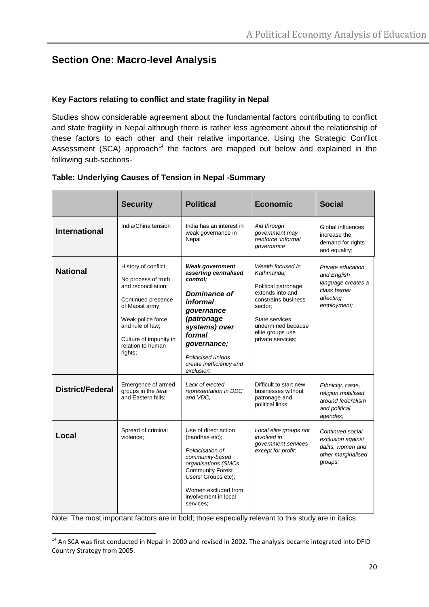# **Section One: Macro-level Analysis**

#### **Key Factors relating to conflict and state fragility in Nepal**

Studies show considerable agreement about the fundamental factors contributing to conflict and state fragility in Nepal although there is rather less agreement about the relationship of these factors to each other and their relative importance. Using the Strategic Conflict Assessment (SCA) approach<sup>[14](#page-19-0)</sup> the factors are mapped out below and explained in the following sub-sections-

|                         | <b>Security</b>                                                                                                                                                                                                | <b>Political</b>                                                                                                                                                                                                             | <b>Economic</b>                                                                                                                                                                               | <b>Social</b>                                                                                       |
|-------------------------|----------------------------------------------------------------------------------------------------------------------------------------------------------------------------------------------------------------|------------------------------------------------------------------------------------------------------------------------------------------------------------------------------------------------------------------------------|-----------------------------------------------------------------------------------------------------------------------------------------------------------------------------------------------|-----------------------------------------------------------------------------------------------------|
| <b>International</b>    | India/China tension                                                                                                                                                                                            | India has an interest in<br>weak governance in<br>Nepal                                                                                                                                                                      | Aid through<br>government may<br>reinforce 'informal<br>governance'                                                                                                                           | Global influences<br>increase the<br>demand for rights<br>and equality;                             |
| <b>National</b>         | History of conflict;<br>No process of truth<br>and reconciliation;<br>Continued presence<br>of Maoist army;<br>Weak police force<br>and rule of law:<br>Culture of impunity in<br>relation to human<br>rights: | <b>Weak government</b><br>asserting centralised<br>control:<br>Dominance of<br>informal<br>governance<br>(patronage<br>systems) over<br>formal<br>governance;<br>Politicised unions<br>create inefficiency and<br>exclusion; | Wealth focused in<br>Kathmandu:<br>Political patronage<br>extends into and<br>constrains business<br>sector;<br>State services<br>undermined because<br>elite groups use<br>private services; | Private education<br>and English<br>language creates a<br>class barrier<br>affecting<br>employment; |
| <b>District/Federal</b> | Emergence of armed<br>groups in the terai<br>and Eastern hills:                                                                                                                                                | Lack of elected<br>representation in DDC<br>and VDC:                                                                                                                                                                         | Difficult to start new<br>businesses without<br>patronage and<br>political links;                                                                                                             | Ethnicity, caste,<br>religion mobilised<br>around federalism<br>and political<br>agendas;           |
| Local                   | Spread of criminal<br>violence:                                                                                                                                                                                | Use of direct action<br>(bandhas etc);<br>Politicisation of<br>community-based<br>organisations (SMCs,<br><b>Community Forest</b><br>Users' Groups etc);<br>Women excluded from<br>involvement in local<br>services;         | Local elite groups not<br>involved in<br>government services<br>except for profit;                                                                                                            | Continued social<br>exclusion against<br>dalits, women and<br>other marginalised<br>groups;         |

#### **Table: Underlying Causes of Tension in Nepal -Summary**

Note: The most important factors are in bold; those especially relevant to this study are in italics.

<span id="page-19-0"></span><sup>&</sup>lt;sup>14</sup> An SCA was first conducted in Nepal in 2000 and revised in 2002. The analysis became integrated into DFID Country Strategy from 2005.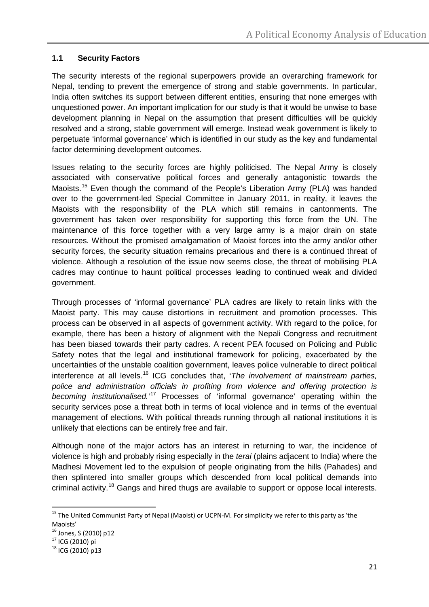#### **1.1 Security Factors**

The security interests of the regional superpowers provide an overarching framework for Nepal, tending to prevent the emergence of strong and stable governments. In particular, India often switches its support between different entities, ensuring that none emerges with unquestioned power. An important implication for our study is that it would be unwise to base development planning in Nepal on the assumption that present difficulties will be quickly resolved and a strong, stable government will emerge. Instead weak government is likely to perpetuate 'informal governance' which is identified in our study as the key and fundamental factor determining development outcomes.

Issues relating to the security forces are highly politicised. The Nepal Army is closely associated with conservative political forces and generally antagonistic towards the Maoists.<sup>[15](#page-20-0)</sup> Even though the command of the People's Liberation Army (PLA) was handed over to the government-led Special Committee in January 2011, in reality, it leaves the Maoists with the responsibility of the PLA which still remains in cantonments. The government has taken over responsibility for supporting this force from the UN. The maintenance of this force together with a very large army is a major drain on state resources. Without the promised amalgamation of Maoist forces into the army and/or other security forces, the security situation remains precarious and there is a continued threat of violence. Although a resolution of the issue now seems close, the threat of mobilising PLA cadres may continue to haunt political processes leading to continued weak and divided government.

Through processes of 'informal governance' PLA cadres are likely to retain links with the Maoist party. This may cause distortions in recruitment and promotion processes. This process can be observed in all aspects of government activity. With regard to the police, for example, there has been a history of alignment with the Nepali Congress and recruitment has been biased towards their party cadres. A recent PEA focused on Policing and Public Safety notes that the legal and institutional framework for policing, exacerbated by the uncertainties of the unstable coalition government, leaves police vulnerable to direct political interference at all levels.[16](#page-20-1) ICG concludes that, '*The involvement of mainstream parties, police and administration officials in profiting from violence and offering protection is becoming institutionalised.'*[17](#page-20-2) Processes of 'informal governance' operating within the security services pose a threat both in terms of local violence and in terms of the eventual management of elections. With political threads running through all national institutions it is unlikely that elections can be entirely free and fair.

Although none of the major actors has an interest in returning to war, the incidence of violence is high and probably rising especially in the *terai* (plains adjacent to India) where the Madhesi Movement led to the expulsion of people originating from the hills (Pahades) and then splintered into smaller groups which descended from local political demands into criminal activity.<sup>[18](#page-20-3)</sup> Gangs and hired thugs are available to support or oppose local interests.

<span id="page-20-0"></span><sup>&</sup>lt;sup>15</sup> The United Communist Party of Nepal (Maoist) or UCPN-M. For simplicity we refer to this party as 'the Maoists'<br><sup>16</sup> Jones, S (2010) p12

<span id="page-20-3"></span><span id="page-20-2"></span><span id="page-20-1"></span> $17$  ICG (2010) pi<br> $18$  ICG (2010) p13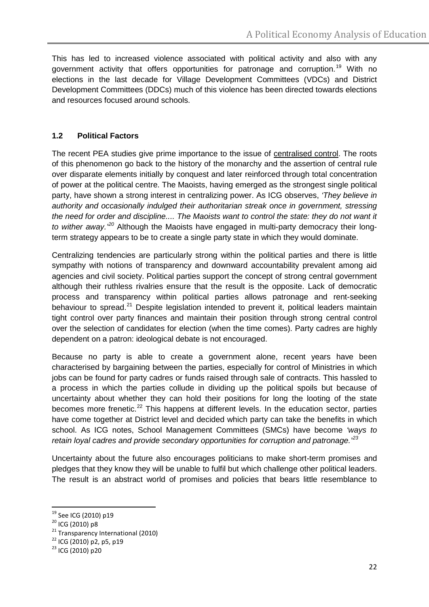This has led to increased violence associated with political activity and also with any government activity that offers opportunities for patronage and corruption.<sup>[19](#page-21-0)</sup> With no elections in the last decade for Village Development Committees (VDCs) and District Development Committees (DDCs) much of this violence has been directed towards elections and resources focused around schools.

# **1.2 Political Factors**

The recent PEA studies give prime importance to the issue of centralised control. The roots of this phenomenon go back to the history of the monarchy and the assertion of central rule over disparate elements initially by conquest and later reinforced through total concentration of power at the political centre. The Maoists, having emerged as the strongest single political party, have shown a strong interest in centralizing power. As ICG observes, *'They believe in authority and occasionally indulged their authoritarian streak once in government, stressing the need for order and discipline.... The Maoists want to control the state: they do not want it*  to wither away.<sup>[20](#page-21-1)</sup> Although the Maoists have engaged in multi-party democracy their longterm strategy appears to be to create a single party state in which they would dominate.

Centralizing tendencies are particularly strong within the political parties and there is little sympathy with notions of transparency and downward accountability prevalent among aid agencies and civil society. Political parties support the concept of strong central government although their ruthless rivalries ensure that the result is the opposite. Lack of democratic process and transparency within political parties allows patronage and rent-seeking behaviour to spread.<sup>[21](#page-21-2)</sup> Despite legislation intended to prevent it, political leaders maintain tight control over party finances and maintain their position through strong central control over the selection of candidates for election (when the time comes). Party cadres are highly dependent on a patron: ideological debate is not encouraged.

Because no party is able to create a government alone, recent years have been characterised by bargaining between the parties, especially for control of Ministries in which jobs can be found for party cadres or funds raised through sale of contracts. This hassled to a process in which the parties collude in dividing up the political spoils but because of uncertainty about whether they can hold their positions for long the looting of the state becomes more frenetic.<sup>[22](#page-21-3)</sup> This happens at different levels. In the education sector, parties have come together at District level and decided which party can take the benefits in which school. As ICG notes, School Management Committees (SMCs) have become *'ways to retain loyal cadres and provide secondary opportunities for corruption and patronage.'[23](#page-21-4)*

Uncertainty about the future also encourages politicians to make short-term promises and pledges that they know they will be unable to fulfil but which challenge other political leaders. The result is an abstract world of promises and policies that bears little resemblance to

<span id="page-21-2"></span>

<span id="page-21-1"></span><span id="page-21-0"></span><sup>&</sup>lt;sup>19</sup> See ICG (2010) p19<br><sup>20</sup> ICG (2010) p8<br><sup>21</sup> Transparency International (2010)<br><sup>22</sup> ICG (2010) p2, p5, p19<br><sup>23</sup> ICG (2010) p20

<span id="page-21-3"></span>

<span id="page-21-4"></span>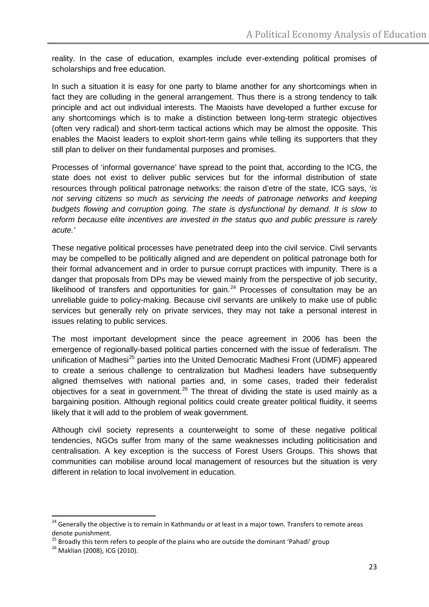reality. In the case of education, examples include ever-extending political promises of scholarships and free education.

In such a situation it is easy for one party to blame another for any shortcomings when in fact they are colluding in the general arrangement. Thus there is a strong tendency to talk principle and act out individual interests. The Maoists have developed a further excuse for any shortcomings which is to make a distinction between long-term strategic objectives (often very radical) and short-term tactical actions which may be almost the opposite. This enables the Maoist leaders to exploit short-term gains while telling its supporters that they still plan to deliver on their fundamental purposes and promises.

Processes of 'informal governance' have spread to the point that, according to the ICG, the state does not exist to deliver public services but for the informal distribution of state resources through political patronage networks: the raison d'etre of the state, ICG says, '*is not serving citizens so much as servicing the needs of patronage networks and keeping budgets flowing and corruption going. The state is dysfunctional by demand. It is slow to reform because elite incentives are invested in the status quo and public pressure is rarely acute.'* 

These negative political processes have penetrated deep into the civil service. Civil servants may be compelled to be politically aligned and are dependent on political patronage both for their formal advancement and in order to pursue corrupt practices with impunity. There is a danger that proposals from DPs may be viewed mainly from the perspective of job security, likelihood of transfers and opportunities for gain.<sup>[24](#page-22-0)</sup> Processes of consultation may be an unreliable guide to policy-making. Because civil servants are unlikely to make use of public services but generally rely on private services, they may not take a personal interest in issues relating to public services.

The most important development since the peace agreement in 2006 has been the emergence of regionally-based political parties concerned with the issue of federalism. The unification of Madhesi<sup>[25](#page-22-1)</sup> parties into the United Democratic Madhesi Front (UDMF) appeared to create a serious challenge to centralization but Madhesi leaders have subsequently aligned themselves with national parties and, in some cases, traded their federalist objectives for a seat in government.<sup>[26](#page-22-2)</sup> The threat of dividing the state is used mainly as a bargaining position. Although regional politics could create greater political fluidity, it seems likely that it will add to the problem of weak government.

Although civil society represents a counterweight to some of these negative political tendencies, NGOs suffer from many of the same weaknesses including politicisation and centralisation. A key exception is the success of Forest Users Groups. This shows that communities can mobilise around local management of resources but the situation is very different in relation to local involvement in education.

<span id="page-22-0"></span><sup>&</sup>lt;sup>24</sup> Generally the obiective is to remain in Kathmandu or at least in a major town. Transfers to remote areas denote punishment.

<span id="page-22-2"></span><span id="page-22-1"></span><sup>&</sup>lt;sup>25</sup> Broadly this term refers to people of the plains who are outside the dominant 'Pahadi' group  $26$  Maklian (2008), ICG (2010).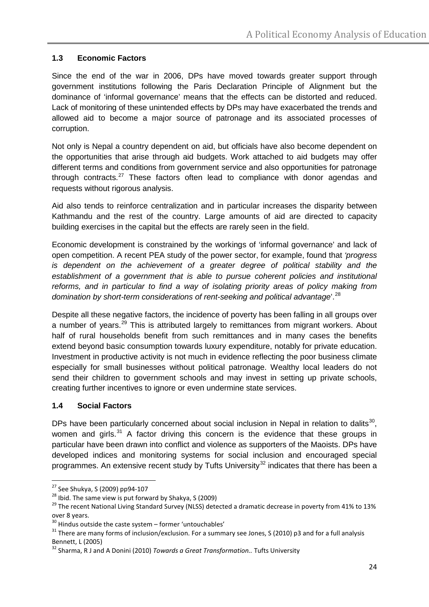# **1.3 Economic Factors**

Since the end of the war in 2006, DPs have moved towards greater support through government institutions following the Paris Declaration Principle of Alignment but the dominance of 'informal governance' means that the effects can be distorted and reduced. Lack of monitoring of these unintended effects by DPs may have exacerbated the trends and allowed aid to become a major source of patronage and its associated processes of corruption.

Not only is Nepal a country dependent on aid, but officials have also become dependent on the opportunities that arise through aid budgets. Work attached to aid budgets may offer different terms and conditions from government service and also opportunities for patronage through contracts.<sup>[27](#page-23-0)</sup> These factors often lead to compliance with donor agendas and requests without rigorous analysis.

Aid also tends to reinforce centralization and in particular increases the disparity between Kathmandu and the rest of the country. Large amounts of aid are directed to capacity building exercises in the capital but the effects are rarely seen in the field.

Economic development is constrained by the workings of 'informal governance' and lack of open competition. A recent PEA study of the power sector, for example, found that *'progress is dependent on the achievement of a greater degree of political stability and the establishment of a government that is able to pursue coherent policies and institutional reforms, and in particular to find a way of isolating priority areas of policy making from domination by short-term considerations of rent-seeking and political advantage*'.<sup>[28](#page-23-1)</sup>

Despite all these negative factors, the incidence of poverty has been falling in all groups over a number of years.<sup>[29](#page-23-2)</sup> This is attributed largely to remittances from migrant workers. About half of rural households benefit from such remittances and in many cases the benefits extend beyond basic consumption towards luxury expenditure, notably for private education. Investment in productive activity is not much in evidence reflecting the poor business climate especially for small businesses without political patronage. Wealthy local leaders do not send their children to government schools and may invest in setting up private schools, creating further incentives to ignore or even undermine state services.

#### **1.4 Social Factors**

DPs have been particularly concerned about social inclusion in Nepal in relation to dalits<sup>[30](#page-23-3)</sup>, women and girls. $31$  A factor driving this concern is the evidence that these groups in particular have been drawn into conflict and violence as supporters of the Maoists. DPs have developed indices and monitoring systems for social inclusion and encouraged special programmes. An extensive recent study by Tufts University<sup>[32](#page-23-5)</sup> indicates that there has been a

<span id="page-23-0"></span> $27$  See Shukya, S (2009) pp94-107<br> $28$  Ibid. The same view is put forward by Shakya, S (2009)

<span id="page-23-2"></span><span id="page-23-1"></span><sup>29</sup> The recent National Living Standard Survey (NLSS) detected a dramatic decrease in poverty from 41% to 13% over 8 years.<br><sup>30</sup> Hindus outside the caste system – former 'untouchables'

<span id="page-23-4"></span><span id="page-23-3"></span><sup>&</sup>lt;sup>31</sup> There are many forms of inclusion/exclusion. For a summary see Jones, S (2010) p3 and for a full analysis Bennett, L (2005)<br><sup>32</sup> Sharma, R J and A Donini (2010) *Towards a Great Transformation..* Tufts University

<span id="page-23-5"></span>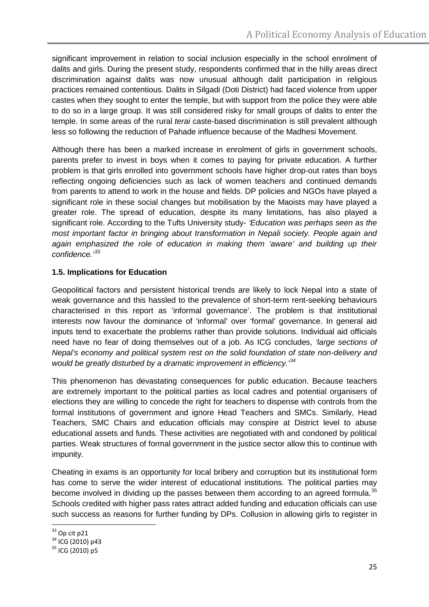significant improvement in relation to social inclusion especially in the school enrolment of dalits and girls. During the present study, respondents confirmed that in the hilly areas direct discrimination against dalits was now unusual although dalit participation in religious practices remained contentious. Dalits in Silgadi (Doti District) had faced violence from upper castes when they sought to enter the temple, but with support from the police they were able to do so in a large group. It was still considered risky for small groups of dalits to enter the temple. In some areas of the rural *terai* caste-based discrimination is still prevalent although less so following the reduction of Pahade influence because of the Madhesi Movement.

Although there has been a marked increase in enrolment of girls in government schools, parents prefer to invest in boys when it comes to paying for private education. A further problem is that girls enrolled into government schools have higher drop-out rates than boys reflecting ongoing deficiencies such as lack of women teachers and continued demands from parents to attend to work in the house and fields. DP policies and NGOs have played a significant role in these social changes but mobilisation by the Maoists may have played a greater role. The spread of education, despite its many limitations, has also played a significant role. According to the Tufts University study- *'Education was perhaps seen as the most important factor in bringing about transformation in Nepali society. People again and*  again emphasized the role of education in making them 'aware' and building up their *confidence.'[33](#page-24-0)*

# **1.5. Implications for Education**

Geopolitical factors and persistent historical trends are likely to lock Nepal into a state of weak governance and this hassled to the prevalence of short-term rent-seeking behaviours characterised in this report as 'informal governance'. The problem is that institutional interests now favour the dominance of 'informal' over 'formal' governance. In general aid inputs tend to exacerbate the problems rather than provide solutions. Individual aid officials need have no fear of doing themselves out of a job. As ICG concludes, *'large sections of Nepal's economy and political system rest on the solid foundation of state non-delivery and would be greatly disturbed by a dramatic improvement in efficiency.'[34](#page-24-1)*

This phenomenon has devastating consequences for public education. Because teachers are extremely important to the political parties as local cadres and potential organisers of elections they are willing to concede the right for teachers to dispense with controls from the formal institutions of government and ignore Head Teachers and SMCs. Similarly, Head Teachers, SMC Chairs and education officials may conspire at District level to abuse educational assets and funds. These activities are negotiated with and condoned by political parties. Weak structures of formal government in the justice sector allow this to continue with impunity.

Cheating in exams is an opportunity for local bribery and corruption but its institutional form has come to serve the wider interest of educational institutions. The political parties may become involved in dividing up the passes between them according to an agreed formula.<sup>[35](#page-24-2)</sup> Schools credited with higher pass rates attract added funding and education officials can use such success as reasons for further funding by DPs. Collusion in allowing girls to register in

 $33$  Op cit p21

<span id="page-24-1"></span><span id="page-24-0"></span> $\frac{34}{10}$  ICG (2010) p43<br>  $\frac{35}{10}$  ICG (2010) p5

<span id="page-24-2"></span>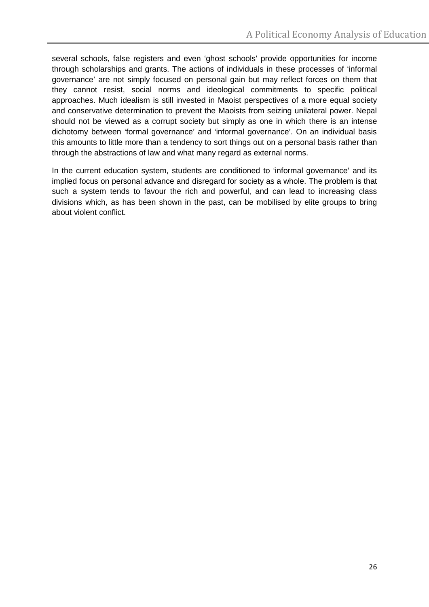several schools, false registers and even 'ghost schools' provide opportunities for income through scholarships and grants. The actions of individuals in these processes of 'informal governance' are not simply focused on personal gain but may reflect forces on them that they cannot resist, social norms and ideological commitments to specific political approaches. Much idealism is still invested in Maoist perspectives of a more equal society and conservative determination to prevent the Maoists from seizing unilateral power. Nepal should not be viewed as a corrupt society but simply as one in which there is an intense dichotomy between 'formal governance' and 'informal governance'. On an individual basis this amounts to little more than a tendency to sort things out on a personal basis rather than through the abstractions of law and what many regard as external norms.

In the current education system, students are conditioned to 'informal governance' and its implied focus on personal advance and disregard for society as a whole. The problem is that such a system tends to favour the rich and powerful, and can lead to increasing class divisions which, as has been shown in the past, can be mobilised by elite groups to bring about violent conflict.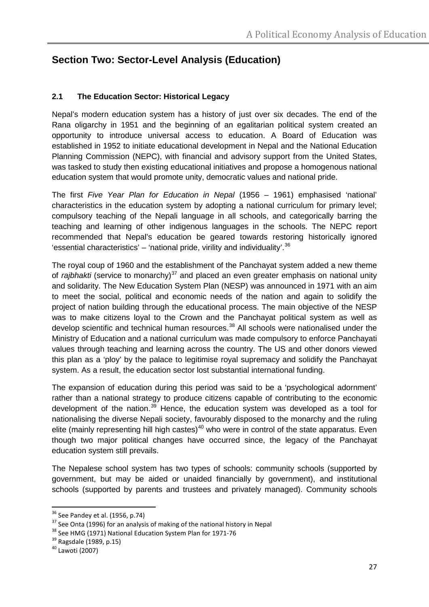# **Section Two: Sector-Level Analysis (Education)**

# **2.1 The Education Sector: Historical Legacy**

Nepal's modern education system has a history of just over six decades. The end of the Rana oligarchy in 1951 and the beginning of an egalitarian political system created an opportunity to introduce universal access to education. A Board of Education was established in 1952 to initiate educational development in Nepal and the National Education Planning Commission (NEPC), with financial and advisory support from the United States, was tasked to study then existing educational initiatives and propose a homogenous national education system that would promote unity, democratic values and national pride.

The first *Five Year Plan for Education in Nepal* (1956 – 1961) emphasised 'national' characteristics in the education system by adopting a national curriculum for primary level; compulsory teaching of the Nepali language in all schools, and categorically barring the teaching and learning of other indigenous languages in the schools. The NEPC report recommended that Nepal's education be geared towards restoring historically ignored 'essential characteristics' – 'national pride, virility and individuality'.<sup>[36](#page-26-0)</sup>

The royal coup of 1960 and the establishment of the Panchayat system added a new theme of *rajbhakti* (service to monarchy)<sup>[37](#page-26-1)</sup> and placed an even greater emphasis on national unity and solidarity. The New Education System Plan (NESP) was announced in 1971 with an aim to meet the social, political and economic needs of the nation and again to solidify the project of nation building through the educational process. The main objective of the NESP was to make citizens loyal to the Crown and the Panchayat political system as well as develop scientific and technical human resources.<sup>[38](#page-26-2)</sup> All schools were nationalised under the Ministry of Education and a national curriculum was made compulsory to enforce Panchayati values through teaching and learning across the country. The US and other donors viewed this plan as a 'ploy' by the palace to legitimise royal supremacy and solidify the Panchayat system. As a result, the education sector lost substantial international funding.

The expansion of education during this period was said to be a 'psychological adornment' rather than a national strategy to produce citizens capable of contributing to the economic development of the nation.<sup>[39](#page-26-3)</sup> Hence, the education system was developed as a tool for nationalising the diverse Nepali society, favourably disposed to the monarchy and the ruling elite (mainly representing hill high castes)<sup>[40](#page-26-4)</sup> who were in control of the state apparatus. Even though two major political changes have occurred since, the legacy of the Panchayat education system still prevails.

The Nepalese school system has two types of schools: community schools (supported by government, but may be aided or unaided financially by government), and institutional schools (supported by parents and trustees and privately managed). Community schools

<span id="page-26-2"></span>

<span id="page-26-1"></span><span id="page-26-0"></span><sup>&</sup>lt;sup>36</sup> See Pandey et al. (1956, p.74)<br><sup>37</sup> See Onta (1996) for an analysis of making of the national history in Nepal<br><sup>38</sup> See HMG (1971) National Education System Plan for 1971-76<br><sup>39</sup> Ragsdale (1989, p.15)<br><sup>40</sup> Lawoti (20

<span id="page-26-3"></span>

<span id="page-26-4"></span>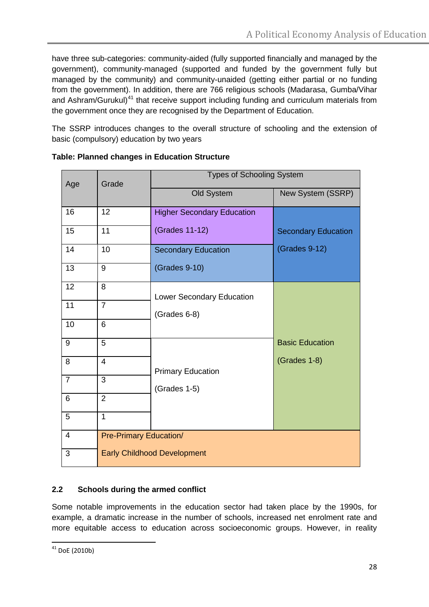have three sub-categories: community-aided (fully supported financially and managed by the government), community-managed (supported and funded by the government fully but managed by the community) and community-unaided (getting either partial or no funding from the government). In addition, there are 766 religious schools (Madarasa, Gumba/Vihar and Ashram/Gurukul)<sup>[41](#page-27-0)</sup> that receive support including funding and curriculum materials from the government once they are recognised by the Department of Education.

The SSRP introduces changes to the overall structure of schooling and the extension of basic (compulsory) education by two years

| Age            | Grade                         | <b>Types of Schooling System</b>   |                            |  |
|----------------|-------------------------------|------------------------------------|----------------------------|--|
|                |                               | Old System                         | New System (SSRP)          |  |
| 16             | 12                            | <b>Higher Secondary Education</b>  |                            |  |
| 15             | 11                            | (Grades 11-12)                     | <b>Secondary Education</b> |  |
| 14             | 10                            | <b>Secondary Education</b>         | (Grades 9-12)              |  |
| 13             | 9                             | (Grades 9-10)                      |                            |  |
| 12             | 8                             | <b>Lower Secondary Education</b>   |                            |  |
| 11             | $\overline{7}$                | (Grades 6-8)                       |                            |  |
| 10             | 6                             |                                    |                            |  |
| 9              | 5                             |                                    | <b>Basic Education</b>     |  |
| 8              | $\overline{4}$                | <b>Primary Education</b>           | (Grades 1-8)               |  |
| $\overline{7}$ | $\overline{3}$                | (Grades 1-5)                       |                            |  |
| 6              | $\overline{2}$                |                                    |                            |  |
| 5              | $\mathbf{1}$                  |                                    |                            |  |
| $\overline{4}$ | <b>Pre-Primary Education/</b> |                                    |                            |  |
| 3              |                               | <b>Early Childhood Development</b> |                            |  |

## **Table: Planned changes in Education Structure**

# **2.2 Schools during the armed conflict**

Some notable improvements in the education sector had taken place by the 1990s, for example, a dramatic increase in the number of schools, increased net enrolment rate and more equitable access to education across socioeconomic groups. However, in reality

<span id="page-27-0"></span> $41$  DoF (2010b)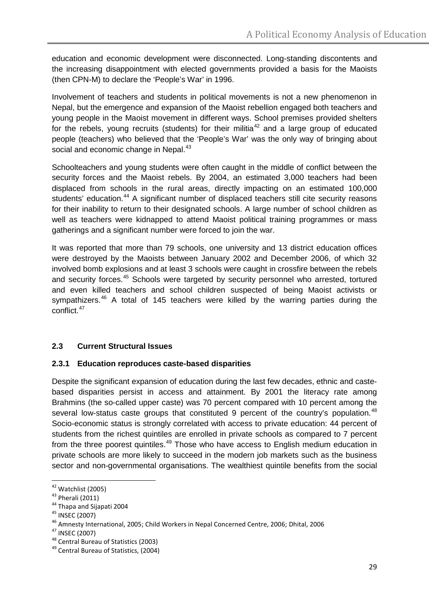education and economic development were disconnected. Long-standing discontents and the increasing disappointment with elected governments provided a basis for the Maoists (then CPN-M) to declare the 'People's War' in 1996.

Involvement of teachers and students in political movements is not a new phenomenon in Nepal, but the emergence and expansion of the Maoist rebellion engaged both teachers and young people in the Maoist movement in different ways. School premises provided shelters for the rebels, young recruits (students) for their militia<sup>[42](#page-28-0)</sup> and a large group of educated people (teachers) who believed that the 'People's War' was the only way of bringing about social and economic change in Nepal.<sup>[43](#page-28-1)</sup>

Schoolteachers and young students were often caught in the middle of conflict between the security forces and the Maoist rebels. By 2004, an estimated 3,000 teachers had been displaced from schools in the rural areas, directly impacting on an estimated 100,000 students' education.<sup>[44](#page-28-2)</sup> A significant number of displaced teachers still cite security reasons for their inability to return to their designated schools. A large number of school children as well as teachers were kidnapped to attend Maoist political training programmes or mass gatherings and a significant number were forced to join the war.

It was reported that more than 79 schools, one university and 13 district education offices were destroyed by the Maoists between January 2002 and December 2006, of which 32 involved bomb explosions and at least 3 schools were caught in crossfire between the rebels and security forces.<sup>[45](#page-28-3)</sup> Schools were targeted by security personnel who arrested, tortured and even killed teachers and school children suspected of being Maoist activists or sympathizers.<sup>[46](#page-28-4)</sup> A total of 145 teachers were killed by the warring parties during the conflict. [47](#page-28-5)

# **2.3 Current Structural Issues**

#### **2.3.1 Education reproduces caste-based disparities**

Despite the significant expansion of education during the last few decades, ethnic and castebased disparities persist in access and attainment. By 2001 the literacy rate among Brahmins (the so-called upper caste) was 70 percent compared with 10 percent among the several low-status caste groups that constituted 9 percent of the country's population.<sup>[48](#page-28-6)</sup> Socio-economic status is strongly correlated with access to private education: 44 percent of students from the richest quintiles are enrolled in private schools as compared to 7 percent from the three poorest quintiles.<sup>[49](#page-28-7)</sup> Those who have access to English medium education in private schools are more likely to succeed in the modern job markets such as the business sector and non-governmental organisations. The wealthiest quintile benefits from the social

<span id="page-28-0"></span> $42$  Watchlist (2005)<br> $43$  Pherali (2011)

<span id="page-28-3"></span><span id="page-28-2"></span><span id="page-28-1"></span><sup>&</sup>lt;sup>44</sup><br>
<sup>44</sup> Thapa and Sijapati 2004<br>
<sup>45</sup> INSEC (2007)<br>
<sup>46</sup> Amnesty International, 2005; Child Workers in Nepal Concerned Centre, 2006; Dhital, 2006<br>
<sup>47</sup> INSEC (2007)<br>
<sup>48</sup> Central Bureau of Statistics (2003)<br>
<sup>49</sup> Centra

<span id="page-28-5"></span><span id="page-28-4"></span>

<span id="page-28-6"></span>

<span id="page-28-7"></span>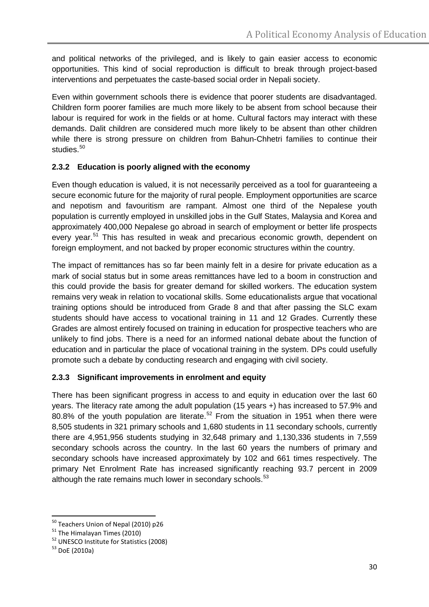and political networks of the privileged, and is likely to gain easier access to economic opportunities. This kind of social reproduction is difficult to break through project-based interventions and perpetuates the caste-based social order in Nepali society.

Even within government schools there is evidence that poorer students are disadvantaged. Children form poorer families are much more likely to be absent from school because their labour is required for work in the fields or at home. Cultural factors may interact with these demands. Dalit children are considered much more likely to be absent than other children while there is strong pressure on children from Bahun-Chhetri families to continue their studies.<sup>[50](#page-29-0)</sup>

# **2.3.2 Education is poorly aligned with the economy**

Even though education is valued, it is not necessarily perceived as a tool for guaranteeing a secure economic future for the majority of rural people. Employment opportunities are scarce and nepotism and favouritism are rampant. Almost one third of the Nepalese youth population is currently employed in unskilled jobs in the Gulf States, Malaysia and Korea and approximately 400,000 Nepalese go abroad in search of employment or better life prospects every year.<sup>[51](#page-29-1)</sup> This has resulted in weak and precarious economic growth, dependent on foreign employment, and not backed by proper economic structures within the country.

The impact of remittances has so far been mainly felt in a desire for private education as a mark of social status but in some areas remittances have led to a boom in construction and this could provide the basis for greater demand for skilled workers. The education system remains very weak in relation to vocational skills. Some educationalists argue that vocational training options should be introduced from Grade 8 and that after passing the SLC exam students should have access to vocational training in 11 and 12 Grades. Currently these Grades are almost entirely focused on training in education for prospective teachers who are unlikely to find jobs. There is a need for an informed national debate about the function of education and in particular the place of vocational training in the system. DPs could usefully promote such a debate by conducting research and engaging with civil society.

#### **2.3.3 Significant improvements in enrolment and equity**

There has been significant progress in access to and equity in education over the last 60 years. The literacy rate among the adult population (15 years +) has increased to 57.9% and 80.8% of the youth population are literate.<sup>[52](#page-29-2)</sup> From the situation in 1951 when there were 8,505 students in 321 primary schools and 1,680 students in 11 secondary schools, currently there are 4,951,956 students studying in 32,648 primary and 1,130,336 students in 7,559 secondary schools across the country. In the last 60 years the numbers of primary and secondary schools have increased approximately by 102 and 661 times respectively. The primary Net Enrolment Rate has increased significantly reaching 93.7 percent in 2009 although the rate remains much lower in secondary schools.<sup>[53](#page-29-3)</sup>

<span id="page-29-1"></span>

<span id="page-29-0"></span><sup>&</sup>lt;sup>50</sup> Teachers Union of Nepal (2010) p26<br><sup>51</sup> The Himalayan Times (2010)<br><sup>52</sup> UNESCO Institute for Statistics (2008)<br><sup>53</sup> DoE (2010a)

<span id="page-29-3"></span><span id="page-29-2"></span>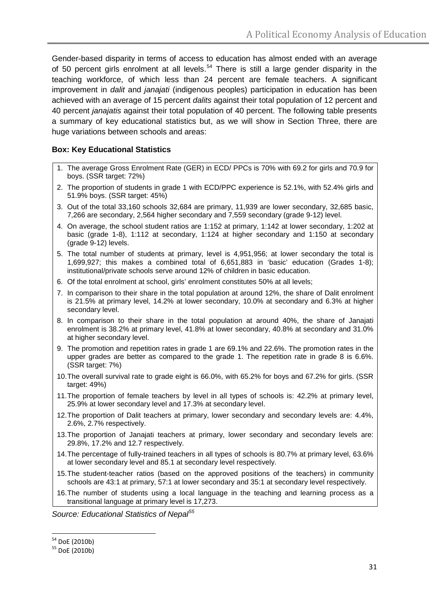Gender-based disparity in terms of access to education has almost ended with an average of 50 percent girls enrolment at all levels.<sup>[54](#page-30-0)</sup> There is still a large gender disparity in the teaching workforce, of which less than 24 percent are female teachers. A significant improvement in *dalit* and *janajati* (indigenous peoples) participation in education has been achieved with an average of 15 percent *dalits* against their total population of 12 percent and 40 percent *janajatis* against their total population of 40 percent. The following table presents a summary of key educational statistics but, as we will show in Section Three, there are huge variations between schools and areas:

#### **Box: Key Educational Statistics**

- 1. The average Gross Enrolment Rate (GER) in ECD/ PPCs is 70% with 69.2 for girls and 70.9 for boys. (SSR target: 72%)
- 2. The proportion of students in grade 1 with ECD/PPC experience is 52.1%, with 52.4% girls and 51.9% boys. (SSR target: 45%)
- 3. Out of the total 33,160 schools 32,684 are primary, 11,939 are lower secondary, 32,685 basic, 7,266 are secondary, 2,564 higher secondary and 7,559 secondary (grade 9-12) level.
- 4. On average, the school student ratios are 1:152 at primary, 1:142 at lower secondary, 1:202 at basic (grade 1-8), 1:112 at secondary, 1:124 at higher secondary and 1:150 at secondary (grade 9-12) levels.
- 5. The total number of students at primary, level is 4,951,956; at lower secondary the total is 1,699,927; this makes a combined total of 6,651,883 in 'basic' education (Grades 1-8); institutional/private schools serve around 12% of children in basic education.
- 6. Of the total enrolment at school, girls' enrolment constitutes 50% at all levels;
- 7. In comparison to their share in the total population at around 12%, the share of Dalit enrolment is 21.5% at primary level, 14.2% at lower secondary, 10.0% at secondary and 6.3% at higher secondary level.
- 8. In comparison to their share in the total population at around 40%, the share of Janajati enrolment is 38.2% at primary level, 41.8% at lower secondary, 40.8% at secondary and 31.0% at higher secondary level.
- 9. The promotion and repetition rates in grade 1 are 69.1% and 22.6%. The promotion rates in the upper grades are better as compared to the grade 1. The repetition rate in grade 8 is 6.6%. (SSR target: 7%)
- 10.The overall survival rate to grade eight is 66.0%, with 65.2% for boys and 67.2% for girls. (SSR target: 49%)
- 11.The proportion of female teachers by level in all types of schools is: 42.2% at primary level, 25.9% at lower secondary level and 17.3% at secondary level.
- 12.The proportion of Dalit teachers at primary, lower secondary and secondary levels are: 4.4%, 2.6%, 2.7% respectively.
- 13.The proportion of Janajati teachers at primary, lower secondary and secondary levels are: 29.8%, 17.2% and 12.7 respectively.
- 14.The percentage of fully-trained teachers in all types of schools is 80.7% at primary level, 63.6% at lower secondary level and 85.1 at secondary level respectively.
- 15.The student-teacher ratios (based on the approved positions of the teachers) in community schools are 43:1 at primary, 57:1 at lower secondary and 35:1 at secondary level respectively.
- 16.The number of students using a local language in the teaching and learning process as a transitional language at primary level is 17,273.

*Source: Educational Statistics of Nepal[55](#page-30-1)*

<span id="page-30-1"></span><span id="page-30-0"></span> $54$  DoE (2010b)<br> $55$  DoE (2010b)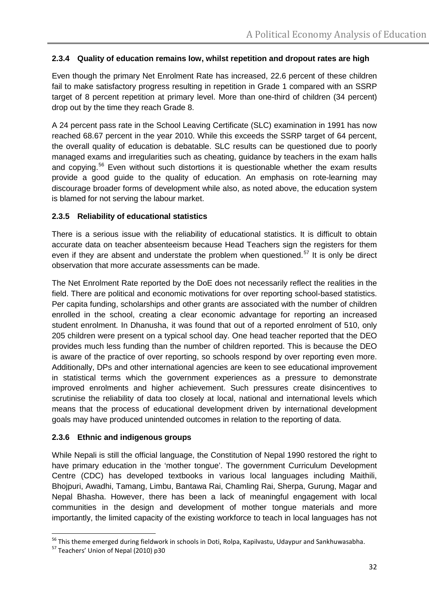#### **2.3.4 Quality of education remains low, whilst repetition and dropout rates are high**

Even though the primary Net Enrolment Rate has increased, 22.6 percent of these children fail to make satisfactory progress resulting in repetition in Grade 1 compared with an SSRP target of 8 percent repetition at primary level. More than one-third of children (34 percent) drop out by the time they reach Grade 8.

A 24 percent pass rate in the School Leaving Certificate (SLC) examination in 1991 has now reached 68.67 percent in the year 2010. While this exceeds the SSRP target of 64 percent, the overall quality of education is debatable. SLC results can be questioned due to poorly managed exams and irregularities such as cheating, guidance by teachers in the exam halls and copying.<sup>[56](#page-31-0)</sup> Even without such distortions it is questionable whether the exam results provide a good guide to the quality of education. An emphasis on rote-learning may discourage broader forms of development while also, as noted above, the education system is blamed for not serving the labour market.

#### **2.3.5 Reliability of educational statistics**

There is a serious issue with the reliability of educational statistics. It is difficult to obtain accurate data on teacher absenteeism because Head Teachers sign the registers for them even if they are absent and understate the problem when questioned.<sup>[57](#page-31-1)</sup> It is only be direct observation that more accurate assessments can be made.

The Net Enrolment Rate reported by the DoE does not necessarily reflect the realities in the field. There are political and economic motivations for over reporting school-based statistics. Per capita funding, scholarships and other grants are associated with the number of children enrolled in the school, creating a clear economic advantage for reporting an increased student enrolment. In Dhanusha, it was found that out of a reported enrolment of 510, only 205 children were present on a typical school day. One head teacher reported that the DEO provides much less funding than the number of children reported. This is because the DEO is aware of the practice of over reporting, so schools respond by over reporting even more. Additionally, DPs and other international agencies are keen to see educational improvement in statistical terms which the government experiences as a pressure to demonstrate improved enrolments and higher achievement. Such pressures create disincentives to scrutinise the reliability of data too closely at local, national and international levels which means that the process of educational development driven by international development goals may have produced unintended outcomes in relation to the reporting of data.

#### **2.3.6 Ethnic and indigenous groups**

While Nepali is still the official language, the Constitution of Nepal 1990 restored the right to have primary education in the 'mother tongue'. The government Curriculum Development Centre (CDC) has developed textbooks in various local languages including Maithili, Bhojpuri, Awadhi, Tamang, Limbu, Bantawa Rai, Chamling Rai, Sherpa, Gurung, Magar and Nepal Bhasha. However, there has been a lack of meaningful engagement with local communities in the design and development of mother tongue materials and more importantly, the limited capacity of the existing workforce to teach in local languages has not

<span id="page-31-1"></span><span id="page-31-0"></span><sup>&</sup>lt;sup>56</sup> This theme emerged during fieldwork in schools in Doti, Rolpa, Kapilvastu, Udaypur and Sankhuwasabha.<br><sup>57</sup> Teachers' Union of Nepal (2010) p30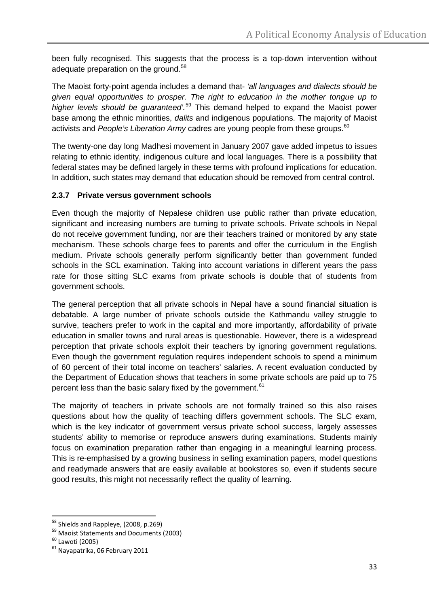been fully recognised. This suggests that the process is a top-down intervention without adequate preparation on the ground.<sup>[58](#page-32-0)</sup>

The Maoist forty-point agenda includes a demand that- *'all languages and dialects should be given equal opportunities to prosper. The right to education in the mother tongue up to higher levels should be guaranteed'.* [59](#page-32-1) This demand helped to expand the Maoist power base among the ethnic minorities, *dalits* and indigenous populations. The majority of Maoist activists and *People's Liberation Army* cadres are young people from these groups. [60](#page-32-2)

The twenty-one day long Madhesi movement in January 2007 gave added impetus to issues relating to ethnic identity, indigenous culture and local languages. There is a possibility that federal states may be defined largely in these terms with profound implications for education. In addition, such states may demand that education should be removed from central control.

#### **2.3.7 Private versus government schools**

Even though the majority of Nepalese children use public rather than private education, significant and increasing numbers are turning to private schools. Private schools in Nepal do not receive government funding, nor are their teachers trained or monitored by any state mechanism. These schools charge fees to parents and offer the curriculum in the English medium. Private schools generally perform significantly better than government funded schools in the SCL examination. Taking into account variations in different years the pass rate for those sitting SLC exams from private schools is double that of students from government schools.

The general perception that all private schools in Nepal have a sound financial situation is debatable. A large number of private schools outside the Kathmandu valley struggle to survive, teachers prefer to work in the capital and more importantly, affordability of private education in smaller towns and rural areas is questionable. However, there is a widespread perception that private schools exploit their teachers by ignoring government regulations. Even though the government regulation requires independent schools to spend a minimum of 60 percent of their total income on teachers' salaries. A recent evaluation conducted by the Department of Education shows that teachers in some private schools are paid up to 75 percent less than the basic salary fixed by the government. <sup>[61](#page-32-3)</sup>

The majority of teachers in private schools are not formally trained so this also raises questions about how the quality of teaching differs government schools. The SLC exam, which is the key indicator of government versus private school success, largely assesses students' ability to memorise or reproduce answers during examinations. Students mainly focus on examination preparation rather than engaging in a meaningful learning process. This is re-emphasised by a growing business in selling examination papers, model questions and readymade answers that are easily available at bookstores so, even if students secure good results, this might not necessarily reflect the quality of learning.

<span id="page-32-1"></span><span id="page-32-0"></span><sup>&</sup>lt;sup>58</sup> Shields and Rappleye, (2008, p.269)<br><sup>59</sup> Maoist Statements and Documents (2003)<br><sup>60</sup> Lawoti (2005)<br><sup>61</sup> Navapatrika, 06 February 2011

<span id="page-32-2"></span>

<span id="page-32-3"></span>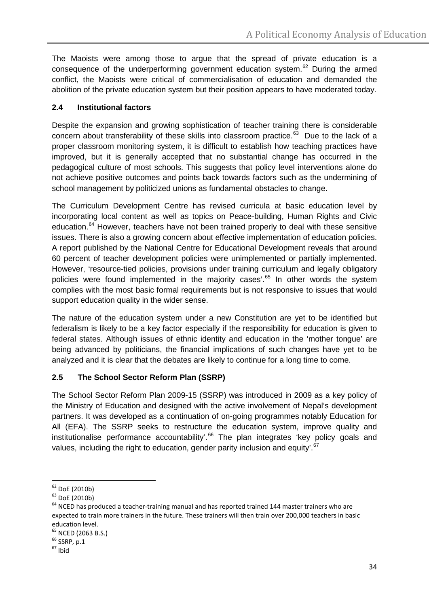The Maoists were among those to argue that the spread of private education is a consequence of the underperforming government education system. [62](#page-33-0) During the armed conflict, the Maoists were critical of commercialisation of education and demanded the abolition of the private education system but their position appears to have moderated today.

#### **2.4 Institutional factors**

Despite the expansion and growing sophistication of teacher training there is considerable concern about transferability of these skills into classroom practice.<sup>[63](#page-33-1)</sup> Due to the lack of a proper classroom monitoring system, it is difficult to establish how teaching practices have improved, but it is generally accepted that no substantial change has occurred in the pedagogical culture of most schools. This suggests that policy level interventions alone do not achieve positive outcomes and points back towards factors such as the undermining of school management by politicized unions as fundamental obstacles to change.

The Curriculum Development Centre has revised curricula at basic education level by incorporating local content as well as topics on Peace-building, Human Rights and Civic education.<sup>[64](#page-33-2)</sup> However, teachers have not been trained properly to deal with these sensitive issues. There is also a growing concern about effective implementation of education policies. A report published by the National Centre for Educational Development reveals that around 60 percent of teacher development policies were unimplemented or partially implemented. However, 'resource-tied policies, provisions under training curriculum and legally obligatory policies were found implemented in the majority cases'.<sup>[65](#page-33-3)</sup> In other words the system complies with the most basic formal requirements but is not responsive to issues that would support education quality in the wider sense.

The nature of the education system under a new Constitution are yet to be identified but federalism is likely to be a key factor especially if the responsibility for education is given to federal states. Although issues of ethnic identity and education in the 'mother tongue' are being advanced by politicians, the financial implications of such changes have yet to be analyzed and it is clear that the debates are likely to continue for a long time to come.

# **2.5 The School Sector Reform Plan (SSRP)**

The School Sector Reform Plan 2009-15 (SSRP) was introduced in 2009 as a key policy of the Ministry of Education and designed with the active involvement of Nepal's development partners. It was developed as a continuation of on-going programmes notably Education for All (EFA). The SSRP seeks to restructure the education system, improve quality and institutionalise performance accountability'.<sup>[66](#page-33-4)</sup> The plan integrates 'key policy goals and values, including the right to education, gender parity inclusion and equity'.<sup>[67](#page-33-5)</sup>

<span id="page-33-2"></span>

<span id="page-33-1"></span><span id="page-33-0"></span><sup>&</sup>lt;sup>62</sup> DoE (2010b)<br><sup>63</sup> DoE (2010b)<br><sup>64</sup> NCED has produced a teacher-training manual and has reported trained 144 master trainers who are expected to train more trainers in the future. These trainers will then train over 200,000 teachers in basic education level.

<span id="page-33-4"></span><span id="page-33-3"></span> $^{65}_{66}$  NCED (2063 B.S.)<br> $^{66}_{66}$  SSRP, p.1<br> $^{67}_{67}$  Ibid

<span id="page-33-5"></span>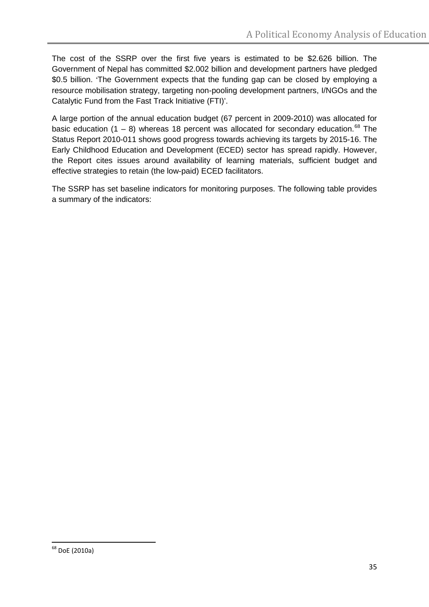The cost of the SSRP over the first five years is estimated to be \$2.626 billion. The Government of Nepal has committed \$2.002 billion and development partners have pledged \$0.5 billion. 'The Government expects that the funding gap can be closed by employing a resource mobilisation strategy, targeting non-pooling development partners, I/NGOs and the Catalytic Fund from the Fast Track Initiative (FTI)'.

A large portion of the annual education budget (67 percent in 2009-2010) was allocated for basic education  $(1 - 8)$  whereas 18 percent was allocated for secondary education.<sup>[68](#page-34-0)</sup> The Status Report 2010-011 shows good progress towards achieving its targets by 2015-16. The Early Childhood Education and Development (ECED) sector has spread rapidly. However, the Report cites issues around availability of learning materials, sufficient budget and effective strategies to retain (the low-paid) ECED facilitators.

The SSRP has set baseline indicators for monitoring purposes. The following table provides a summary of the indicators:

<span id="page-34-0"></span> $68$  DoE (2010a)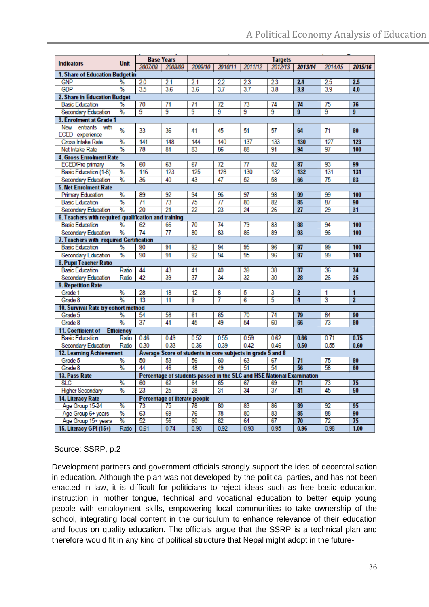| <b>Indicators</b>                                    | Unit              |                 | <b>Base Years</b>             |                 | 2010/11          |                                                                       | <b>Targets</b> |         |                 |                 |
|------------------------------------------------------|-------------------|-----------------|-------------------------------|-----------------|------------------|-----------------------------------------------------------------------|----------------|---------|-----------------|-----------------|
| 1. Share of Education Budget in                      |                   | 2007/08         | 2008/09                       | 2009/10         |                  | 2011/12                                                               | 2012/13        | 2013/14 | 2014/15         | 2015/16         |
| <b>GNP</b>                                           | %                 | 2.0             | 2.1                           | 2.1             | 2.2              | 2.3                                                                   | 2.3            | 2.4     | 2.5             | 2.5             |
| <b>GDP</b>                                           | %                 | 35              | 3.6                           | 3.6             | 3.7              | $\overline{3.7}$                                                      | 3.8            | 3.8     | 3.9             | 4.0             |
| 2. Share in Education Budget                         |                   |                 |                               |                 |                  |                                                                       |                |         |                 |                 |
| <b>Basic Education</b>                               | %                 | 70              | 71                            | 71              | 72               | 73                                                                    | 74             | 74      | 75              | 76              |
| Secondary Education                                  | %                 | 9               | 9                             | 9               | 9                | 9                                                                     | 9              | 9       | 9               | $\overline{9}$  |
| 3. Enrolment at Grade 1                              |                   |                 |                               |                 |                  |                                                                       |                |         |                 |                 |
| New entrants with                                    |                   |                 |                               |                 |                  |                                                                       |                |         |                 |                 |
| ECED experience                                      | %                 | 33              | 36                            | 41              | 45               | 51                                                                    | 57             | 64      | 71              | 80              |
| Gross Intake Rate                                    | %                 | 141             | 148                           | 144             | 140              | 137                                                                   | 133            | 130     | 127             | 123             |
| Net Intake Rate                                      | %                 | 78              | 81                            | 83              | 86               | 88                                                                    | 91             | 94      | 97              | 100             |
| <b>4. Gross Enrolment Rate</b>                       |                   |                 |                               |                 |                  |                                                                       |                |         |                 |                 |
| ECED/Pre primary                                     | %                 | 60              | 63                            | 67              | 72               | 77                                                                    | 82             | 87      | 93              | 99              |
| Basic Education (1-8)                                | %                 | 116             | 123                           | 125             | 128              | 130                                                                   | 132            | 132     | 131             | 131             |
| Secondary Education                                  | %                 | 36              | 40                            | 43              | 47               | 52                                                                    | 58             | 66      | 75              | 83              |
| <b>5. Net Enrolment Rate</b>                         |                   |                 |                               |                 |                  |                                                                       |                |         |                 |                 |
| <b>Primary Education</b>                             | %                 | 89              | 92                            | 94              | 96               | 97                                                                    | 98             | 99      | 99              | 100             |
| <b>Basic Education</b>                               | %                 | $\overline{71}$ | 73                            | $\overline{75}$ | $\overline{\pi}$ | 80                                                                    | 82             | 85      | 87              | 90              |
| Secondary Education                                  | %                 | 20              | 21                            | 22              | 23               | 24                                                                    | 26             | 27      | 29              | 31              |
| 6. Teachers with required qualification and training |                   |                 |                               |                 |                  |                                                                       |                |         |                 |                 |
| <b>Basic Education</b>                               | %                 | 62              | 66                            | 70              | 74               | 79                                                                    | 83             | 88      | 94              | 100             |
| Secondary Education                                  | %                 | 74              | 77                            | 80              | 83               | 86                                                                    | 89             | 93      | 96              | 100             |
| 7. Teachers with required Certification              |                   |                 |                               |                 |                  |                                                                       |                |         |                 |                 |
| <b>Basic Education</b>                               | %                 | 90              | 91                            | 92              | 94               | 95                                                                    | 96             | 97      | 99              | 100             |
| Secondary Education                                  | $\frac{9}{6}$     | 90              | 91                            | 92              | 94               | 95                                                                    | 96             | 97      | 99              | 100             |
| 8. Pupil Teacher Ratio                               |                   |                 |                               |                 |                  |                                                                       |                |         |                 |                 |
| <b>Basic Education</b>                               | Ratio             | 44              | 43                            | 41              | 40               | 39                                                                    | 38             | 37      | 36              | 34              |
| Secondary Education                                  | Ratio             | 42              | 39                            | $\overline{37}$ | 34               | 32                                                                    | 30             | 28      | 26              | $\overline{25}$ |
| <b>9. Repetition Rate</b>                            |                   |                 |                               |                 |                  |                                                                       |                |         |                 |                 |
| Grade 1                                              | %                 | 28              | 18                            | 12              | 8                | 5                                                                     | 3              | 2       | 1               | 1               |
| Grade 8                                              | $\frac{9}{6}$     | 13              | 11                            | 9               | 7                | 6                                                                     | 5              | 4       | 3               | $\overline{2}$  |
| 10. Survival Rate by cohort method                   |                   |                 |                               |                 |                  |                                                                       |                |         |                 |                 |
| Grade 5                                              | %                 | 54              | 58                            | 61              | 65               | 70                                                                    | 74             | 79      | 84              | 90              |
| Grade 8                                              | %                 | 37              | 41                            | 45              | 49               | 54                                                                    | 60             | 66      | 73              | 80              |
| 11. Coefficient of                                   | <b>Efficiency</b> |                 |                               |                 |                  |                                                                       |                |         |                 |                 |
| <b>Basic Education</b>                               | Ratio             | 0.46            | 0.49                          | 0.52            | 0.55             | 0.59                                                                  | 0.62           | 0.66    | 0.71            | 0.75            |
| Secondary Education                                  | Ratio             | 0.30            | 0.33                          | 0.36            | 0.39             | 0.42                                                                  | 0.46           | 0.50    | 0.55            | 0.60            |
| <b>12. Learning Achievement</b>                      |                   |                 |                               |                 |                  | Average Score of students in core subjects in grade 5 and 8           |                |         |                 |                 |
| Grade 5                                              | %                 | 50              | 53                            | 56              | 60               | 63                                                                    | 67             | 71      | 75              | 80              |
| Grade 8                                              | %                 | 44              | 46                            | 48              | 49               | 51                                                                    | 54             | 56      | 58              | 60              |
| 13. Pass Rate                                        |                   |                 |                               |                 |                  | Percentage of students passed in the SLC and HSE National Examination |                |         |                 |                 |
| <b>SLC</b>                                           | %                 | 60              | 62                            | 64              | 65               | 67                                                                    | 69             | 71      | 73              | 75              |
| <b>Higher Secondary</b>                              | $\%$              | 23              | $\overline{25}$               | 28              | 31               | 34                                                                    | 37             | 41      | 45              | 50              |
| 14. Literacy Rate                                    |                   |                 | Percentage of literate people |                 |                  |                                                                       |                |         |                 |                 |
| Age Group 15-24                                      | %                 | 73              | 75                            | 78              | 80               | 83                                                                    | 86             | 89      | 92              | 95              |
| Age Group 6+ years                                   | $\frac{9}{6}$     | 63              | 69                            | 76              | 78               | 80                                                                    | 83             | 85      | 88              | 90              |
| Age Group 15+ years                                  | $\%$              | 52              | 56                            | 60              | 62               | 64                                                                    | 67             | 70      | $\overline{72}$ | 75              |
| 15. Literacy GPI (15+)                               | Ratio             | 0.61            | 0.74                          | 0.90            | 0.92             | 0.93                                                                  | 0.95           | 0.96    | 0.98            | 1.00            |

# Source: SSRP, p.2

Development partners and government officials strongly support the idea of decentralisation in education. Although the plan was not developed by the political parties, and has not been enacted in law, it is difficult for politicians to reject ideas such as free basic education, instruction in mother tongue, technical and vocational education to better equip young people with employment skills, empowering local communities to take ownership of the school, integrating local content in the curriculum to enhance relevance of their education and focus on quality education. The officials argue that the SSRP is a technical plan and therefore would fit in any kind of political structure that Nepal might adopt in the future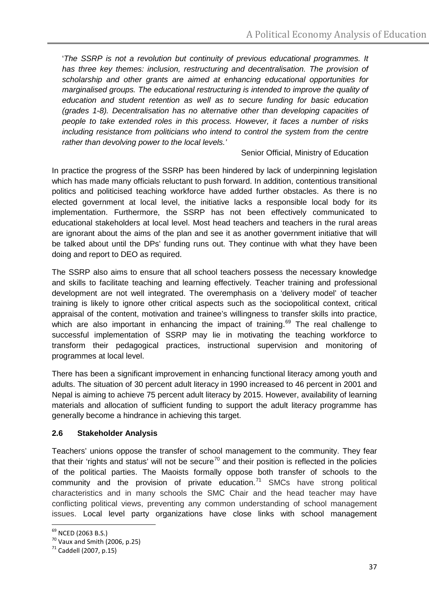'*The SSRP is not a revolution but continuity of previous educational programmes. It has three key themes: inclusion, restructuring and decentralisation. The provision of scholarship and other grants are aimed at enhancing educational opportunities for marginalised groups. The educational restructuring is intended to improve the quality of education and student retention as well as to secure funding for basic education (grades 1-8). Decentralisation has no alternative other than developing capacities of people to take extended roles in this process. However, it faces a number of risks including resistance from politicians who intend to control the system from the centre rather than devolving power to the local levels.'* 

Senior Official, Ministry of Education

In practice the progress of the SSRP has been hindered by lack of underpinning legislation which has made many officials reluctant to push forward. In addition, contentious transitional politics and politicised teaching workforce have added further obstacles. As there is no elected government at local level, the initiative lacks a responsible local body for its implementation. Furthermore, the SSRP has not been effectively communicated to educational stakeholders at local level. Most head teachers and teachers in the rural areas are ignorant about the aims of the plan and see it as another government initiative that will be talked about until the DPs' funding runs out. They continue with what they have been doing and report to DEO as required.

The SSRP also aims to ensure that all school teachers possess the necessary knowledge and skills to facilitate teaching and learning effectively. Teacher training and professional development are not well integrated. The overemphasis on a 'delivery model' of teacher training is likely to ignore other critical aspects such as the sociopolitical context, critical appraisal of the content, motivation and trainee's willingness to transfer skills into practice, which are also important in enhancing the impact of training.<sup>[69](#page-36-0)</sup> The real challenge to successful implementation of SSRP may lie in motivating the teaching workforce to transform their pedagogical practices, instructional supervision and monitoring of programmes at local level.

There has been a significant improvement in enhancing functional literacy among youth and adults. The situation of 30 percent adult literacy in 1990 increased to 46 percent in 2001 and Nepal is aiming to achieve 75 percent adult literacy by 2015. However, availability of learning materials and allocation of sufficient funding to support the adult literacy programme has generally become a hindrance in achieving this target.

# **2.6 Stakeholder Analysis**

Teachers' unions oppose the transfer of school management to the community. They fear that their 'rights and status' will not be secure<sup>[70](#page-36-1)</sup> and their position is reflected in the policies of the political parties. The Maoists formally oppose both transfer of schools to the community and the provision of private education.<sup>[71](#page-36-2)</sup> SMCs have strong political characteristics and in many schools the SMC Chair and the head teacher may have conflicting political views, preventing any common understanding of school management issues. Local level party organizations have close links with school management

<sup>&</sup>lt;sup>69</sup> NCED (2063 B.S.)

<span id="page-36-1"></span><span id="page-36-0"></span> $\frac{70}{70}$  Vaux and Smith (2006, p.25)<br> $\frac{71}{71}$  Caddell (2007, p.15)

<span id="page-36-2"></span>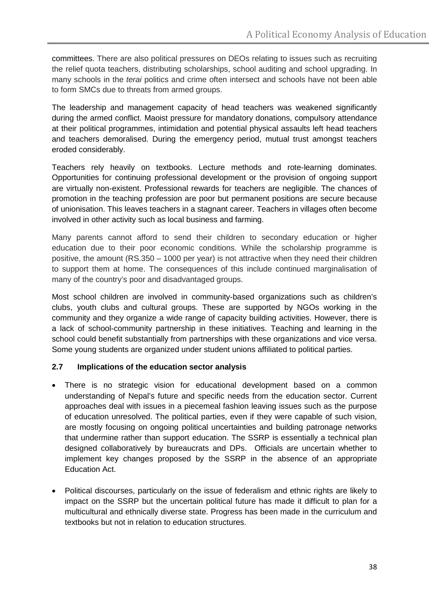committees. There are also political pressures on DEOs relating to issues such as recruiting the relief quota teachers, distributing scholarships, school auditing and school upgrading. In many schools in the *terai* politics and crime often intersect and schools have not been able to form SMCs due to threats from armed groups.

The leadership and management capacity of head teachers was weakened significantly during the armed conflict. Maoist pressure for mandatory donations, compulsory attendance at their political programmes, intimidation and potential physical assaults left head teachers and teachers demoralised. During the emergency period, mutual trust amongst teachers eroded considerably.

Teachers rely heavily on textbooks. Lecture methods and rote-learning dominates. Opportunities for continuing professional development or the provision of ongoing support are virtually non-existent. Professional rewards for teachers are negligible. The chances of promotion in the teaching profession are poor but permanent positions are secure because of unionisation. This leaves teachers in a stagnant career. Teachers in villages often become involved in other activity such as local business and farming.

Many parents cannot afford to send their children to secondary education or higher education due to their poor economic conditions. While the scholarship programme is positive, the amount (RS.350 – 1000 per year) is not attractive when they need their children to support them at home. The consequences of this include continued marginalisation of many of the country's poor and disadvantaged groups.

Most school children are involved in community-based organizations such as children's clubs, youth clubs and cultural groups. These are supported by NGOs working in the community and they organize a wide range of capacity building activities. However, there is a lack of school-community partnership in these initiatives. Teaching and learning in the school could benefit substantially from partnerships with these organizations and vice versa. Some young students are organized under student unions affiliated to political parties.

#### **2.7 Implications of the education sector analysis**

- There is no strategic vision for educational development based on a common understanding of Nepal's future and specific needs from the education sector. Current approaches deal with issues in a piecemeal fashion leaving issues such as the purpose of education unresolved. The political parties, even if they were capable of such vision, are mostly focusing on ongoing political uncertainties and building patronage networks that undermine rather than support education. The SSRP is essentially a technical plan designed collaboratively by bureaucrats and DPs. Officials are uncertain whether to implement key changes proposed by the SSRP in the absence of an appropriate Education Act.
- Political discourses, particularly on the issue of federalism and ethnic rights are likely to impact on the SSRP but the uncertain political future has made it difficult to plan for a multicultural and ethnically diverse state. Progress has been made in the curriculum and textbooks but not in relation to education structures.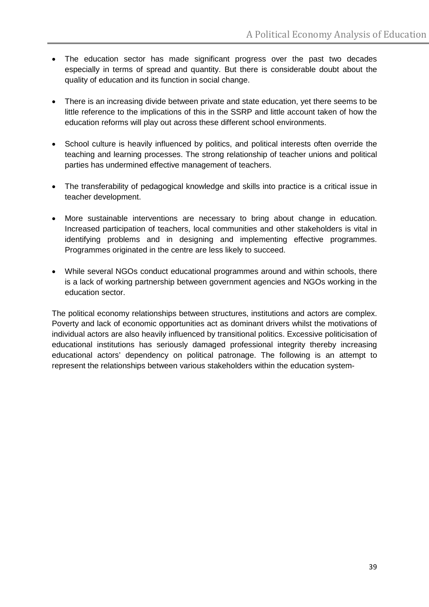- The education sector has made significant progress over the past two decades especially in terms of spread and quantity. But there is considerable doubt about the quality of education and its function in social change.
- There is an increasing divide between private and state education, yet there seems to be little reference to the implications of this in the SSRP and little account taken of how the education reforms will play out across these different school environments.
- School culture is heavily influenced by politics, and political interests often override the teaching and learning processes. The strong relationship of teacher unions and political parties has undermined effective management of teachers.
- The transferability of pedagogical knowledge and skills into practice is a critical issue in teacher development.
- More sustainable interventions are necessary to bring about change in education. Increased participation of teachers, local communities and other stakeholders is vital in identifying problems and in designing and implementing effective programmes. Programmes originated in the centre are less likely to succeed.
- While several NGOs conduct educational programmes around and within schools, there is a lack of working partnership between government agencies and NGOs working in the education sector.

The political economy relationships between structures, institutions and actors are complex. Poverty and lack of economic opportunities act as dominant drivers whilst the motivations of individual actors are also heavily influenced by transitional politics. Excessive politicisation of educational institutions has seriously damaged professional integrity thereby increasing educational actors' dependency on political patronage. The following is an attempt to represent the relationships between various stakeholders within the education system-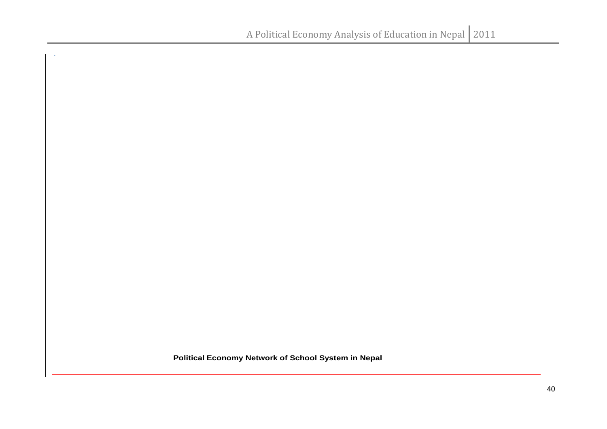**Political Economy Network of School System in Nepal**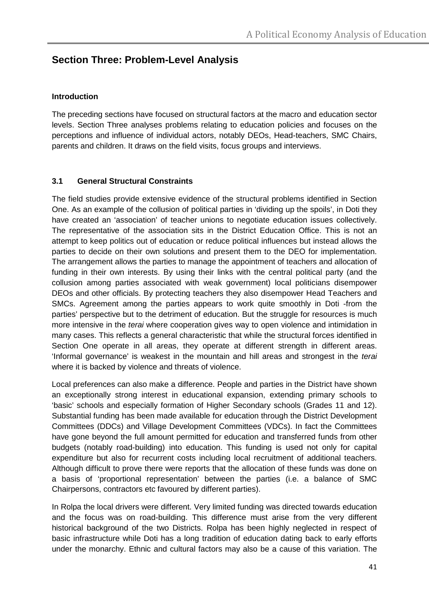# **Section Three: Problem-Level Analysis**

#### **Introduction**

The preceding sections have focused on structural factors at the macro and education sector levels. Section Three analyses problems relating to education policies and focuses on the perceptions and influence of individual actors, notably DEOs, Head-teachers, SMC Chairs, parents and children. It draws on the field visits, focus groups and interviews.

## **3.1 General Structural Constraints**

The field studies provide extensive evidence of the structural problems identified in Section One. As an example of the collusion of political parties in 'dividing up the spoils', in Doti they have created an 'association' of teacher unions to negotiate education issues collectively. The representative of the association sits in the District Education Office. This is not an attempt to keep politics out of education or reduce political influences but instead allows the parties to decide on their own solutions and present them to the DEO for implementation. The arrangement allows the parties to manage the appointment of teachers and allocation of funding in their own interests. By using their links with the central political party (and the collusion among parties associated with weak government) local politicians disempower DEOs and other officials. By protecting teachers they also disempower Head Teachers and SMCs. Agreement among the parties appears to work quite smoothly in Doti -from the parties' perspective but to the detriment of education. But the struggle for resources is much more intensive in the *terai* where cooperation gives way to open violence and intimidation in many cases. This reflects a general characteristic that while the structural forces identified in Section One operate in all areas, they operate at different strength in different areas. 'Informal governance' is weakest in the mountain and hill areas and strongest in the *terai* where it is backed by violence and threats of violence.

Local preferences can also make a difference. People and parties in the District have shown an exceptionally strong interest in educational expansion, extending primary schools to 'basic' schools and especially formation of Higher Secondary schools (Grades 11 and 12). Substantial funding has been made available for education through the District Development Committees (DDCs) and Village Development Committees (VDCs). In fact the Committees have gone beyond the full amount permitted for education and transferred funds from other budgets (notably road-building) into education. This funding is used not only for capital expenditure but also for recurrent costs including local recruitment of additional teachers. Although difficult to prove there were reports that the allocation of these funds was done on a basis of 'proportional representation' between the parties (i.e. a balance of SMC Chairpersons, contractors etc favoured by different parties).

In Rolpa the local drivers were different. Very limited funding was directed towards education and the focus was on road-building. This difference must arise from the very different historical background of the two Districts. Rolpa has been highly neglected in respect of basic infrastructure while Doti has a long tradition of education dating back to early efforts under the monarchy. Ethnic and cultural factors may also be a cause of this variation. The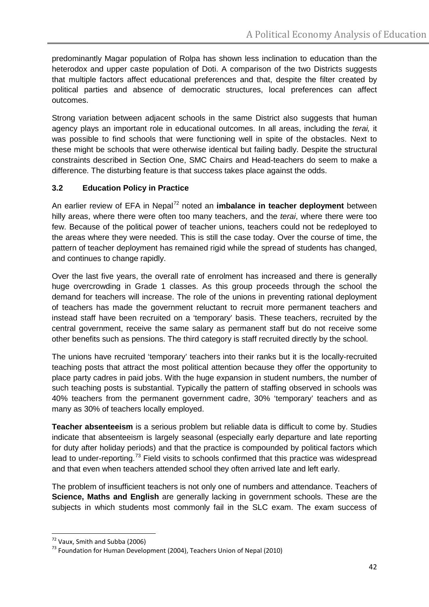predominantly Magar population of Rolpa has shown less inclination to education than the heterodox and upper caste population of Doti. A comparison of the two Districts suggests that multiple factors affect educational preferences and that, despite the filter created by political parties and absence of democratic structures, local preferences can affect outcomes.

Strong variation between adjacent schools in the same District also suggests that human agency plays an important role in educational outcomes. In all areas, including the *terai,* it was possible to find schools that were functioning well in spite of the obstacles. Next to these might be schools that were otherwise identical but failing badly. Despite the structural constraints described in Section One, SMC Chairs and Head-teachers do seem to make a difference. The disturbing feature is that success takes place against the odds.

# **3.2 Education Policy in Practice**

An earlier review of EFA in Nepal<sup>[72](#page-41-0)</sup> noted an *imbalance in teacher deployment* between hilly areas, where there were often too many teachers, and the *terai*, where there were too few. Because of the political power of teacher unions, teachers could not be redeployed to the areas where they were needed. This is still the case today. Over the course of time, the pattern of teacher deployment has remained rigid while the spread of students has changed, and continues to change rapidly.

Over the last five years, the overall rate of enrolment has increased and there is generally huge overcrowding in Grade 1 classes. As this group proceeds through the school the demand for teachers will increase. The role of the unions in preventing rational deployment of teachers has made the government reluctant to recruit more permanent teachers and instead staff have been recruited on a 'temporary' basis. These teachers, recruited by the central government, receive the same salary as permanent staff but do not receive some other benefits such as pensions. The third category is staff recruited directly by the school.

The unions have recruited 'temporary' teachers into their ranks but it is the locally-recruited teaching posts that attract the most political attention because they offer the opportunity to place party cadres in paid jobs. With the huge expansion in student numbers, the number of such teaching posts is substantial. Typically the pattern of staffing observed in schools was 40% teachers from the permanent government cadre, 30% 'temporary' teachers and as many as 30% of teachers locally employed.

**Teacher absenteeism** is a serious problem but reliable data is difficult to come by. Studies indicate that absenteeism is largely seasonal (especially early departure and late reporting for duty after holiday periods) and that the practice is compounded by political factors which lead to under-reporting.<sup>[73](#page-41-1)</sup> Field visits to schools confirmed that this practice was widespread and that even when teachers attended school they often arrived late and left early.

The problem of insufficient teachers is not only one of numbers and attendance. Teachers of **Science, Maths and English** are generally lacking in government schools. These are the subjects in which students most commonly fail in the SLC exam. The exam success of

<span id="page-41-1"></span><span id="page-41-0"></span><sup>&</sup>lt;sup>72</sup> Vaux, Smith and Subba (2006)<br><sup>73</sup> Foundation for Human Development (2004), Teachers Union of Nepal (2010)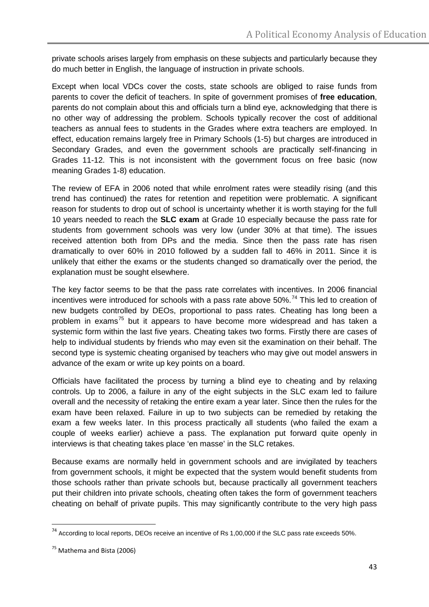private schools arises largely from emphasis on these subjects and particularly because they do much better in English, the language of instruction in private schools.

Except when local VDCs cover the costs, state schools are obliged to raise funds from parents to cover the deficit of teachers. In spite of government promises of **free education**, parents do not complain about this and officials turn a blind eye, acknowledging that there is no other way of addressing the problem. Schools typically recover the cost of additional teachers as annual fees to students in the Grades where extra teachers are employed. In effect, education remains largely free in Primary Schools (1-5) but charges are introduced in Secondary Grades, and even the government schools are practically self-financing in Grades 11-12. This is not inconsistent with the government focus on free basic (now meaning Grades 1-8) education.

The review of EFA in 2006 noted that while enrolment rates were steadily rising (and this trend has continued) the rates for retention and repetition were problematic. A significant reason for students to drop out of school is uncertainty whether it is worth staying for the full 10 years needed to reach the **SLC exam** at Grade 10 especially because the pass rate for students from government schools was very low (under 30% at that time). The issues received attention both from DPs and the media. Since then the pass rate has risen dramatically to over 60% in 2010 followed by a sudden fall to 46% in 2011. Since it is unlikely that either the exams or the students changed so dramatically over the period, the explanation must be sought elsewhere.

The key factor seems to be that the pass rate correlates with incentives. In 2006 financial incentives were introduced for schools with a pass rate above  $50\%$ <sup>[74](#page-42-0)</sup> This led to creation of new budgets controlled by DEOs, proportional to pass rates. Cheating has long been a problem in exams<sup>[75](#page-42-1)</sup> but it appears to have become more widespread and has taken a systemic form within the last five years. Cheating takes two forms. Firstly there are cases of help to individual students by friends who may even sit the examination on their behalf. The second type is systemic cheating organised by teachers who may give out model answers in advance of the exam or write up key points on a board.

Officials have facilitated the process by turning a blind eye to cheating and by relaxing controls. Up to 2006, a failure in any of the eight subjects in the SLC exam led to failure overall and the necessity of retaking the entire exam a year later. Since then the rules for the exam have been relaxed. Failure in up to two subjects can be remedied by retaking the exam a few weeks later. In this process practically all students (who failed the exam a couple of weeks earlier) achieve a pass. The explanation put forward quite openly in interviews is that cheating takes place 'en masse' in the SLC retakes.

Because exams are normally held in government schools and are invigilated by teachers from government schools, it might be expected that the system would benefit students from those schools rather than private schools but, because practically all government teachers put their children into private schools, cheating often takes the form of government teachers cheating on behalf of private pupils. This may significantly contribute to the very high pass

<span id="page-42-0"></span> $74$  According to local reports, DEOs receive an incentive of Rs 1,00,000 if the SLC pass rate exceeds 50%.

<span id="page-42-1"></span><sup>75</sup> Mathema and Bista (2006)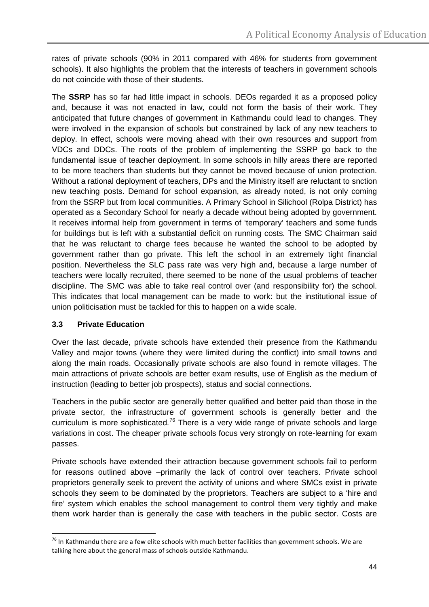rates of private schools (90% in 2011 compared with 46% for students from government schools). It also highlights the problem that the interests of teachers in government schools do not coincide with those of their students.

The **SSRP** has so far had little impact in schools. DEOs regarded it as a proposed policy and, because it was not enacted in law, could not form the basis of their work. They anticipated that future changes of government in Kathmandu could lead to changes. They were involved in the expansion of schools but constrained by lack of any new teachers to deploy. In effect, schools were moving ahead with their own resources and support from VDCs and DDCs. The roots of the problem of implementing the SSRP go back to the fundamental issue of teacher deployment. In some schools in hilly areas there are reported to be more teachers than students but they cannot be moved because of union protection. Without a rational deployment of teachers, DPs and the Ministry itself are reluctant to snction new teaching posts. Demand for school expansion, as already noted, is not only coming from the SSRP but from local communities. A Primary School in Silichool (Rolpa District) has operated as a Secondary School for nearly a decade without being adopted by government. It receives informal help from government in terms of 'temporary' teachers and some funds for buildings but is left with a substantial deficit on running costs. The SMC Chairman said that he was reluctant to charge fees because he wanted the school to be adopted by government rather than go private. This left the school in an extremely tight financial position. Nevertheless the SLC pass rate was very high and, because a large number of teachers were locally recruited, there seemed to be none of the usual problems of teacher discipline. The SMC was able to take real control over (and responsibility for) the school. This indicates that local management can be made to work: but the institutional issue of union politicisation must be tackled for this to happen on a wide scale.

#### **3.3 Private Education**

Over the last decade, private schools have extended their presence from the Kathmandu Valley and major towns (where they were limited during the conflict) into small towns and along the main roads. Occasionally private schools are also found in remote villages. The main attractions of private schools are better exam results, use of English as the medium of instruction (leading to better job prospects), status and social connections.

Teachers in the public sector are generally better qualified and better paid than those in the private sector, the infrastructure of government schools is generally better and the curriculum is more sophisticated.<sup>[76](#page-43-0)</sup> There is a very wide range of private schools and large variations in cost. The cheaper private schools focus very strongly on rote-learning for exam passes.

Private schools have extended their attraction because government schools fail to perform for reasons outlined above –primarily the lack of control over teachers. Private school proprietors generally seek to prevent the activity of unions and where SMCs exist in private schools they seem to be dominated by the proprietors. Teachers are subject to a 'hire and fire' system which enables the school management to control them very tightly and make them work harder than is generally the case with teachers in the public sector. Costs are

<span id="page-43-0"></span> $76$  In Kathmandu there are a few elite schools with much better facilities than government schools. We are talking here about the general mass of schools outside Kathmandu.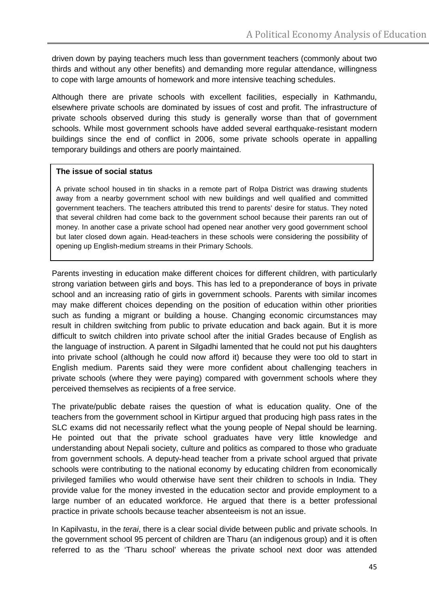driven down by paying teachers much less than government teachers (commonly about two thirds and without any other benefits) and demanding more regular attendance, willingness to cope with large amounts of homework and more intensive teaching schedules.

Although there are private schools with excellent facilities, especially in Kathmandu, elsewhere private schools are dominated by issues of cost and profit. The infrastructure of private schools observed during this study is generally worse than that of government schools. While most government schools have added several earthquake-resistant modern buildings since the end of conflict in 2006, some private schools operate in appalling temporary buildings and others are poorly maintained.

#### **The issue of social status**

A private school housed in tin shacks in a remote part of Rolpa District was drawing students away from a nearby government school with new buildings and well qualified and committed government teachers. The teachers attributed this trend to parents' desire for status. They noted that several children had come back to the government school because their parents ran out of money. In another case a private school had opened near another very good government school but later closed down again. Head-teachers in these schools were considering the possibility of opening up English-medium streams in their Primary Schools.

Parents investing in education make different choices for different children, with particularly strong variation between girls and boys. This has led to a preponderance of boys in private school and an increasing ratio of girls in government schools. Parents with similar incomes may make different choices depending on the position of education within other priorities such as funding a migrant or building a house. Changing economic circumstances may result in children switching from public to private education and back again. But it is more difficult to switch children into private school after the initial Grades because of English as the language of instruction. A parent in Silgadhi lamented that he could not put his daughters into private school (although he could now afford it) because they were too old to start in English medium. Parents said they were more confident about challenging teachers in private schools (where they were paying) compared with government schools where they perceived themselves as recipients of a free service.

The private/public debate raises the question of what is education quality. One of the teachers from the government school in Kirtipur argued that producing high pass rates in the SLC exams did not necessarily reflect what the young people of Nepal should be learning. He pointed out that the private school graduates have very little knowledge and understanding about Nepali society, culture and politics as compared to those who graduate from government schools. A deputy-head teacher from a private school argued that private schools were contributing to the national economy by educating children from economically privileged families who would otherwise have sent their children to schools in India. They provide value for the money invested in the education sector and provide employment to a large number of an educated workforce. He argued that there is a better professional practice in private schools because teacher absenteeism is not an issue.

In Kapilvastu, in the *terai*, there is a clear social divide between public and private schools. In the government school 95 percent of children are Tharu (an indigenous group) and it is often referred to as the 'Tharu school' whereas the private school next door was attended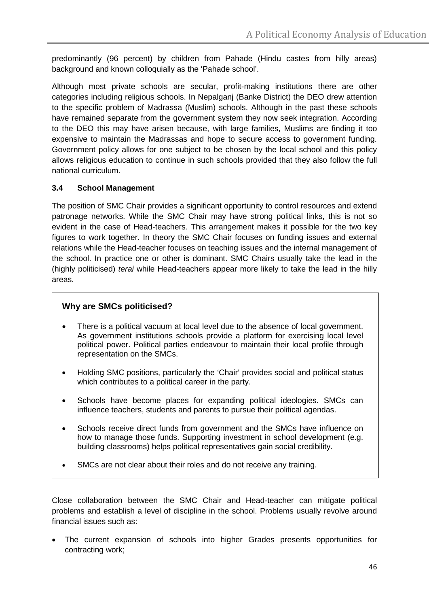predominantly (96 percent) by children from Pahade (Hindu castes from hilly areas) background and known colloquially as the 'Pahade school'.

Although most private schools are secular, profit-making institutions there are other categories including religious schools. In Nepalganj (Banke District) the DEO drew attention to the specific problem of Madrassa (Muslim) schools. Although in the past these schools have remained separate from the government system they now seek integration. According to the DEO this may have arisen because, with large families, Muslims are finding it too expensive to maintain the Madrassas and hope to secure access to government funding. Government policy allows for one subject to be chosen by the local school and this policy allows religious education to continue in such schools provided that they also follow the full national curriculum.

## **3.4 School Management**

The position of SMC Chair provides a significant opportunity to control resources and extend patronage networks. While the SMC Chair may have strong political links, this is not so evident in the case of Head-teachers. This arrangement makes it possible for the two key figures to work together. In theory the SMC Chair focuses on funding issues and external relations while the Head-teacher focuses on teaching issues and the internal management of the school. In practice one or other is dominant. SMC Chairs usually take the lead in the (highly politicised) *terai* while Head-teachers appear more likely to take the lead in the hilly areas.

# **Why are SMCs politicised?**

- There is a political vacuum at local level due to the absence of local government. As government institutions schools provide a platform for exercising local level political power. Political parties endeavour to maintain their local profile through representation on the SMCs.
- Holding SMC positions, particularly the 'Chair' provides social and political status which contributes to a political career in the party.
- Schools have become places for expanding political ideologies. SMCs can influence teachers, students and parents to pursue their political agendas.
- Schools receive direct funds from government and the SMCs have influence on how to manage those funds. Supporting investment in school development (e.g. building classrooms) helps political representatives gain social credibility.
- SMCs are not clear about their roles and do not receive any training.

Close collaboration between the SMC Chair and Head-teacher can mitigate political problems and establish a level of discipline in the school. Problems usually revolve around financial issues such as:

• The current expansion of schools into higher Grades presents opportunities for contracting work;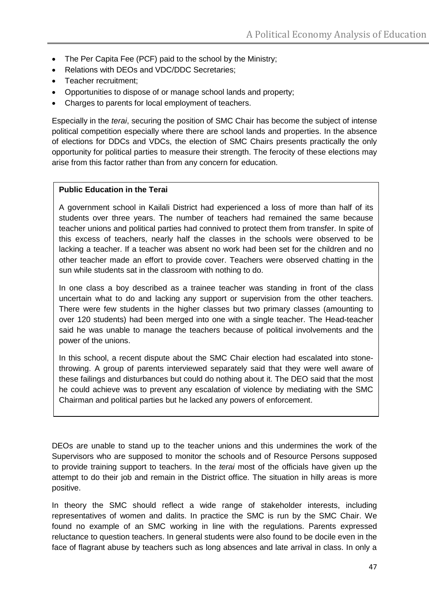- The Per Capita Fee (PCF) paid to the school by the Ministry;
- Relations with DEOs and VDC/DDC Secretaries;
- Teacher recruitment:
- Opportunities to dispose of or manage school lands and property;
- Charges to parents for local employment of teachers.

Especially in the *terai*, securing the position of SMC Chair has become the subject of intense political competition especially where there are school lands and properties. In the absence of elections for DDCs and VDCs, the election of SMC Chairs presents practically the only opportunity for political parties to measure their strength. The ferocity of these elections may arise from this factor rather than from any concern for education.

#### **Public Education in the Terai**

A government school in Kailali District had experienced a loss of more than half of its students over three years. The number of teachers had remained the same because teacher unions and political parties had connived to protect them from transfer. In spite of this excess of teachers, nearly half the classes in the schools were observed to be lacking a teacher. If a teacher was absent no work had been set for the children and no other teacher made an effort to provide cover. Teachers were observed chatting in the sun while students sat in the classroom with nothing to do.

In one class a boy described as a trainee teacher was standing in front of the class uncertain what to do and lacking any support or supervision from the other teachers. There were few students in the higher classes but two primary classes (amounting to over 120 students) had been merged into one with a single teacher. The Head-teacher said he was unable to manage the teachers because of political involvements and the power of the unions.

In this school, a recent dispute about the SMC Chair election had escalated into stonethrowing. A group of parents interviewed separately said that they were well aware of these failings and disturbances but could do nothing about it. The DEO said that the most he could achieve was to prevent any escalation of violence by mediating with the SMC Chairman and political parties but he lacked any powers of enforcement.

DEOs are unable to stand up to the teacher unions and this undermines the work of the Supervisors who are supposed to monitor the schools and of Resource Persons supposed to provide training support to teachers. In the *terai* most of the officials have given up the attempt to do their job and remain in the District office. The situation in hilly areas is more positive.

In theory the SMC should reflect a wide range of stakeholder interests, including representatives of women and dalits. In practice the SMC is run by the SMC Chair. We found no example of an SMC working in line with the regulations. Parents expressed reluctance to question teachers. In general students were also found to be docile even in the face of flagrant abuse by teachers such as long absences and late arrival in class. In only a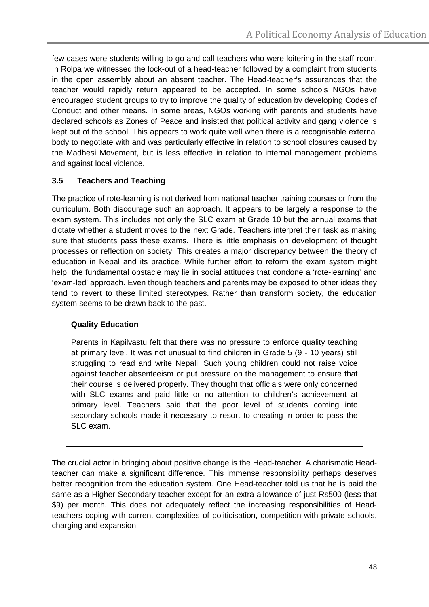few cases were students willing to go and call teachers who were loitering in the staff-room. In Rolpa we witnessed the lock-out of a head-teacher followed by a complaint from students in the open assembly about an absent teacher. The Head-teacher's assurances that the teacher would rapidly return appeared to be accepted. In some schools NGOs have encouraged student groups to try to improve the quality of education by developing Codes of Conduct and other means. In some areas, NGOs working with parents and students have declared schools as Zones of Peace and insisted that political activity and gang violence is kept out of the school. This appears to work quite well when there is a recognisable external body to negotiate with and was particularly effective in relation to school closures caused by the Madhesi Movement, but is less effective in relation to internal management problems and against local violence.

## **3.5 Teachers and Teaching**

The practice of rote-learning is not derived from national teacher training courses or from the curriculum. Both discourage such an approach. It appears to be largely a response to the exam system. This includes not only the SLC exam at Grade 10 but the annual exams that dictate whether a student moves to the next Grade. Teachers interpret their task as making sure that students pass these exams. There is little emphasis on development of thought processes or reflection on society. This creates a major discrepancy between the theory of education in Nepal and its practice. While further effort to reform the exam system might help, the fundamental obstacle may lie in social attitudes that condone a 'rote-learning' and 'exam-led' approach. Even though teachers and parents may be exposed to other ideas they tend to revert to these limited stereotypes. Rather than transform society, the education system seems to be drawn back to the past.

#### **Quality Education**

Parents in Kapilvastu felt that there was no pressure to enforce quality teaching at primary level. It was not unusual to find children in Grade 5 (9 - 10 years) still struggling to read and write Nepali. Such young children could not raise voice against teacher absenteeism or put pressure on the management to ensure that their course is delivered properly. They thought that officials were only concerned with SLC exams and paid little or no attention to children's achievement at primary level. Teachers said that the poor level of students coming into secondary schools made it necessary to resort to cheating in order to pass the SLC exam.

The crucial actor in bringing about positive change is the Head-teacher. A charismatic Headteacher can make a significant difference. This immense responsibility perhaps deserves better recognition from the education system. One Head-teacher told us that he is paid the same as a Higher Secondary teacher except for an extra allowance of just Rs500 (less that \$9) per month. This does not adequately reflect the increasing responsibilities of Headteachers coping with current complexities of politicisation, competition with private schools, charging and expansion.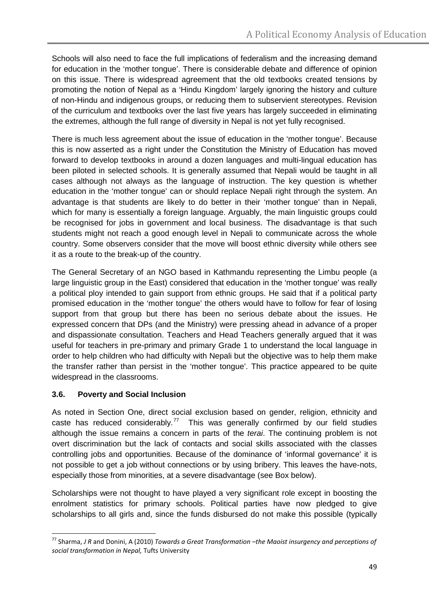Schools will also need to face the full implications of federalism and the increasing demand for education in the 'mother tongue'. There is considerable debate and difference of opinion on this issue. There is widespread agreement that the old textbooks created tensions by promoting the notion of Nepal as a 'Hindu Kingdom' largely ignoring the history and culture of non-Hindu and indigenous groups, or reducing them to subservient stereotypes. Revision of the curriculum and textbooks over the last five years has largely succeeded in eliminating the extremes, although the full range of diversity in Nepal is not yet fully recognised.

There is much less agreement about the issue of education in the 'mother tongue'. Because this is now asserted as a right under the Constitution the Ministry of Education has moved forward to develop textbooks in around a dozen languages and multi-lingual education has been piloted in selected schools. It is generally assumed that Nepali would be taught in all cases although not always as the language of instruction. The key question is whether education in the 'mother tongue' can or should replace Nepali right through the system. An advantage is that students are likely to do better in their 'mother tongue' than in Nepali, which for many is essentially a foreign language. Arguably, the main linguistic groups could be recognised for jobs in government and local business. The disadvantage is that such students might not reach a good enough level in Nepali to communicate across the whole country. Some observers consider that the move will boost ethnic diversity while others see it as a route to the break-up of the country.

The General Secretary of an NGO based in Kathmandu representing the Limbu people (a large linguistic group in the East) considered that education in the 'mother tongue' was really a political ploy intended to gain support from ethnic groups. He said that if a political party promised education in the 'mother tongue' the others would have to follow for fear of losing support from that group but there has been no serious debate about the issues. He expressed concern that DPs (and the Ministry) were pressing ahead in advance of a proper and dispassionate consultation. Teachers and Head Teachers generally argued that it was useful for teachers in pre-primary and primary Grade 1 to understand the local language in order to help children who had difficulty with Nepali but the objective was to help them make the transfer rather than persist in the 'mother tongue'. This practice appeared to be quite widespread in the classrooms.

# **3.6. Poverty and Social Inclusion**

As noted in Section One, direct social exclusion based on gender, religion, ethnicity and caste has reduced considerably.<sup>[77](#page-48-0)</sup> This was generally confirmed by our field studies although the issue remains a concern in parts of the *terai*. The continuing problem is not overt discrimination but the lack of contacts and social skills associated with the classes controlling jobs and opportunities. Because of the dominance of 'informal governance' it is not possible to get a job without connections or by using bribery. This leaves the have-nots, especially those from minorities, at a severe disadvantage (see Box below).

Scholarships were not thought to have played a very significant role except in boosting the enrolment statistics for primary schools. Political parties have now pledged to give scholarships to all girls and, since the funds disbursed do not make this possible (typically

<span id="page-48-0"></span> <sup>77</sup> Sharma, *J R* and Donini, A (2010) *Towards a Great Transformation –the Maoist insurgency and perceptions of social transformation in Nepal,* Tufts University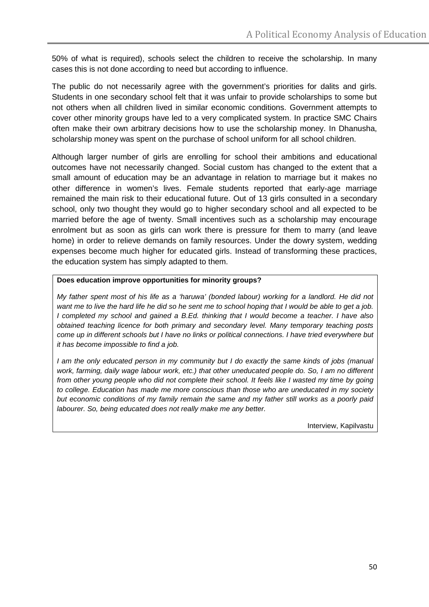50% of what is required), schools select the children to receive the scholarship. In many cases this is not done according to need but according to influence.

The public do not necessarily agree with the government's priorities for dalits and girls. Students in one secondary school felt that it was unfair to provide scholarships to some but not others when all children lived in similar economic conditions. Government attempts to cover other minority groups have led to a very complicated system. In practice SMC Chairs often make their own arbitrary decisions how to use the scholarship money. In Dhanusha, scholarship money was spent on the purchase of school uniform for all school children.

Although larger number of girls are enrolling for school their ambitions and educational outcomes have not necessarily changed. Social custom has changed to the extent that a small amount of education may be an advantage in relation to marriage but it makes no other difference in women's lives. Female students reported that early-age marriage remained the main risk to their educational future. Out of 13 girls consulted in a secondary school, only two thought they would go to higher secondary school and all expected to be married before the age of twenty. Small incentives such as a scholarship may encourage enrolment but as soon as girls can work there is pressure for them to marry (and leave home) in order to relieve demands on family resources. Under the dowry system, wedding expenses become much higher for educated girls. Instead of transforming these practices, the education system has simply adapted to them.

#### **Does education improve opportunities for minority groups?**

*My father spent most of his life as a 'haruwa' (bonded labour) working for a landlord. He did not want me to live the hard life he did so he sent me to school hoping that I would be able to get a job. I completed my school and gained a B.Ed. thinking that I would become a teacher. I have also obtained teaching licence for both primary and secondary level. Many temporary teaching posts come up in different schools but I have no links or political connections. I have tried everywhere but it has become impossible to find a job.*

*I am the only educated person in my community but I do exactly the same kinds of jobs (manual work, farming, daily wage labour work, etc.) that other uneducated people do. So, I am no different from other young people who did not complete their school. It feels like I wasted my time by going to college. Education has made me more conscious than those who are uneducated in my society but economic conditions of my family remain the same and my father still works as a poorly paid labourer. So, being educated does not really make me any better.* 

Interview, Kapilvastu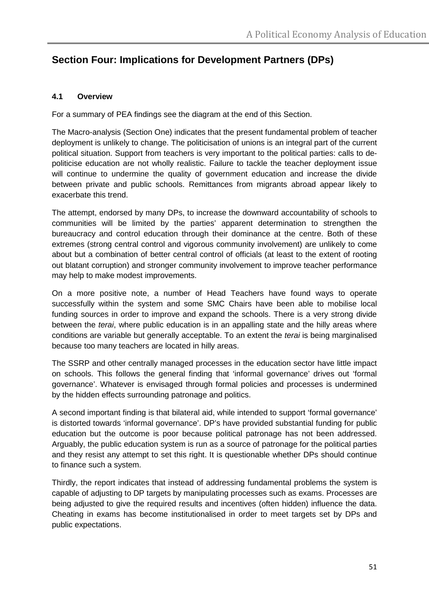# **Section Four: Implications for Development Partners (DPs)**

#### **4.1 Overview**

For a summary of PEA findings see the diagram at the end of this Section.

The Macro-analysis (Section One) indicates that the present fundamental problem of teacher deployment is unlikely to change. The politicisation of unions is an integral part of the current political situation. Support from teachers is very important to the political parties: calls to depoliticise education are not wholly realistic. Failure to tackle the teacher deployment issue will continue to undermine the quality of government education and increase the divide between private and public schools. Remittances from migrants abroad appear likely to exacerbate this trend.

The attempt, endorsed by many DPs, to increase the downward accountability of schools to communities will be limited by the parties' apparent determination to strengthen the bureaucracy and control education through their dominance at the centre. Both of these extremes (strong central control and vigorous community involvement) are unlikely to come about but a combination of better central control of officials (at least to the extent of rooting out blatant corruption) and stronger community involvement to improve teacher performance may help to make modest improvements.

On a more positive note, a number of Head Teachers have found ways to operate successfully within the system and some SMC Chairs have been able to mobilise local funding sources in order to improve and expand the schools. There is a very strong divide between the *terai*, where public education is in an appalling state and the hilly areas where conditions are variable but generally acceptable. To an extent the *terai* is being marginalised because too many teachers are located in hilly areas.

The SSRP and other centrally managed processes in the education sector have little impact on schools. This follows the general finding that 'informal governance' drives out 'formal governance'. Whatever is envisaged through formal policies and processes is undermined by the hidden effects surrounding patronage and politics.

A second important finding is that bilateral aid, while intended to support 'formal governance' is distorted towards 'informal governance'. DP's have provided substantial funding for public education but the outcome is poor because political patronage has not been addressed. Arguably, the public education system is run as a source of patronage for the political parties and they resist any attempt to set this right. It is questionable whether DPs should continue to finance such a system.

Thirdly, the report indicates that instead of addressing fundamental problems the system is capable of adjusting to DP targets by manipulating processes such as exams. Processes are being adjusted to give the required results and incentives (often hidden) influence the data. Cheating in exams has become institutionalised in order to meet targets set by DPs and public expectations.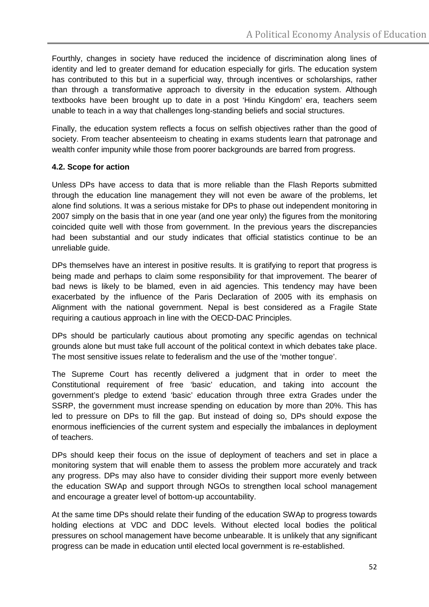Fourthly, changes in society have reduced the incidence of discrimination along lines of identity and led to greater demand for education especially for girls. The education system has contributed to this but in a superficial way, through incentives or scholarships, rather than through a transformative approach to diversity in the education system. Although textbooks have been brought up to date in a post 'Hindu Kingdom' era, teachers seem unable to teach in a way that challenges long-standing beliefs and social structures.

Finally, the education system reflects a focus on selfish objectives rather than the good of society. From teacher absenteeism to cheating in exams students learn that patronage and wealth confer impunity while those from poorer backgrounds are barred from progress.

## **4.2. Scope for action**

Unless DPs have access to data that is more reliable than the Flash Reports submitted through the education line management they will not even be aware of the problems, let alone find solutions. It was a serious mistake for DPs to phase out independent monitoring in 2007 simply on the basis that in one year (and one year only) the figures from the monitoring coincided quite well with those from government. In the previous years the discrepancies had been substantial and our study indicates that official statistics continue to be an unreliable guide.

DPs themselves have an interest in positive results. It is gratifying to report that progress is being made and perhaps to claim some responsibility for that improvement. The bearer of bad news is likely to be blamed, even in aid agencies. This tendency may have been exacerbated by the influence of the Paris Declaration of 2005 with its emphasis on Alignment with the national government. Nepal is best considered as a Fragile State requiring a cautious approach in line with the OECD-DAC Principles.

DPs should be particularly cautious about promoting any specific agendas on technical grounds alone but must take full account of the political context in which debates take place. The most sensitive issues relate to federalism and the use of the 'mother tongue'.

The Supreme Court has recently delivered a judgment that in order to meet the Constitutional requirement of free 'basic' education, and taking into account the government's pledge to extend 'basic' education through three extra Grades under the SSRP, the government must increase spending on education by more than 20%. This has led to pressure on DPs to fill the gap. But instead of doing so, DPs should expose the enormous inefficiencies of the current system and especially the imbalances in deployment of teachers.

DPs should keep their focus on the issue of deployment of teachers and set in place a monitoring system that will enable them to assess the problem more accurately and track any progress. DPs may also have to consider dividing their support more evenly between the education SWAp and support through NGOs to strengthen local school management and encourage a greater level of bottom-up accountability.

At the same time DPs should relate their funding of the education SWAp to progress towards holding elections at VDC and DDC levels. Without elected local bodies the political pressures on school management have become unbearable. It is unlikely that any significant progress can be made in education until elected local government is re-established.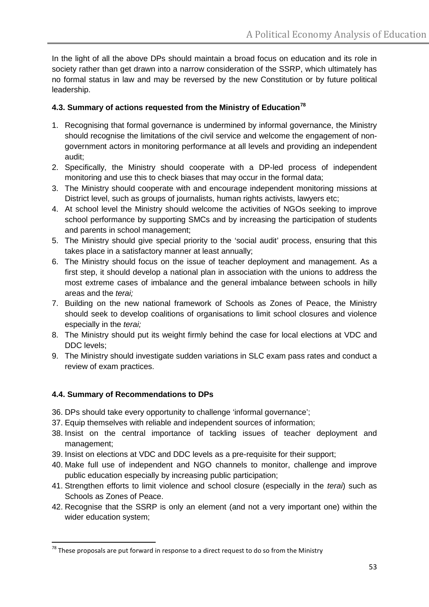In the light of all the above DPs should maintain a broad focus on education and its role in society rather than get drawn into a narrow consideration of the SSRP, which ultimately has no formal status in law and may be reversed by the new Constitution or by future political leadership.

## **4.3. Summary of actions requested from the Ministry of Education[78](#page-52-0)**

- 1. Recognising that formal governance is undermined by informal governance, the Ministry should recognise the limitations of the civil service and welcome the engagement of nongovernment actors in monitoring performance at all levels and providing an independent audit;
- 2. Specifically, the Ministry should cooperate with a DP-led process of independent monitoring and use this to check biases that may occur in the formal data;
- 3. The Ministry should cooperate with and encourage independent monitoring missions at District level, such as groups of journalists, human rights activists, lawyers etc;
- 4. At school level the Ministry should welcome the activities of NGOs seeking to improve school performance by supporting SMCs and by increasing the participation of students and parents in school management;
- 5. The Ministry should give special priority to the 'social audit' process, ensuring that this takes place in a satisfactory manner at least annually;
- 6. The Ministry should focus on the issue of teacher deployment and management. As a first step, it should develop a national plan in association with the unions to address the most extreme cases of imbalance and the general imbalance between schools in hilly areas and the *terai;*
- 7. Building on the new national framework of Schools as Zones of Peace, the Ministry should seek to develop coalitions of organisations to limit school closures and violence especially in the *terai;*
- 8. The Ministry should put its weight firmly behind the case for local elections at VDC and DDC levels;
- 9. The Ministry should investigate sudden variations in SLC exam pass rates and conduct a review of exam practices.

# **4.4. Summary of Recommendations to DPs**

- 36. DPs should take every opportunity to challenge 'informal governance';
- 37. Equip themselves with reliable and independent sources of information;
- 38. Insist on the central importance of tackling issues of teacher deployment and management;
- 39. Insist on elections at VDC and DDC levels as a pre-requisite for their support;
- 40. Make full use of independent and NGO channels to monitor, challenge and improve public education especially by increasing public participation;
- 41. Strengthen efforts to limit violence and school closure (especially in the *terai*) such as Schools as Zones of Peace.
- 42. Recognise that the SSRP is only an element (and not a very important one) within the wider education system;

<span id="page-52-0"></span> $78$  These proposals are put forward in response to a direct request to do so from the Ministry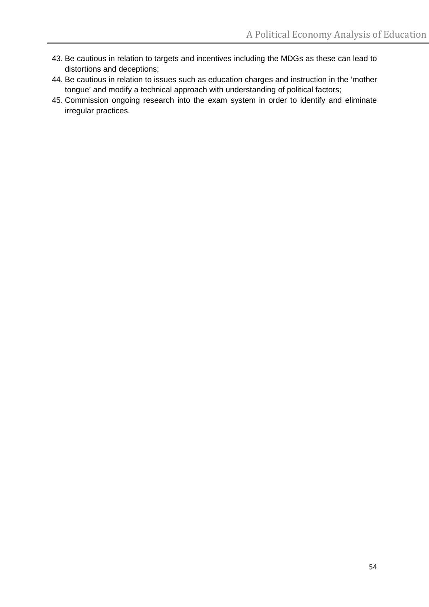- 43. Be cautious in relation to targets and incentives including the MDGs as these can lead to distortions and deceptions;
- 44. Be cautious in relation to issues such as education charges and instruction in the 'mother tongue' and modify a technical approach with understanding of political factors;
- 45. Commission ongoing research into the exam system in order to identify and eliminate irregular practices.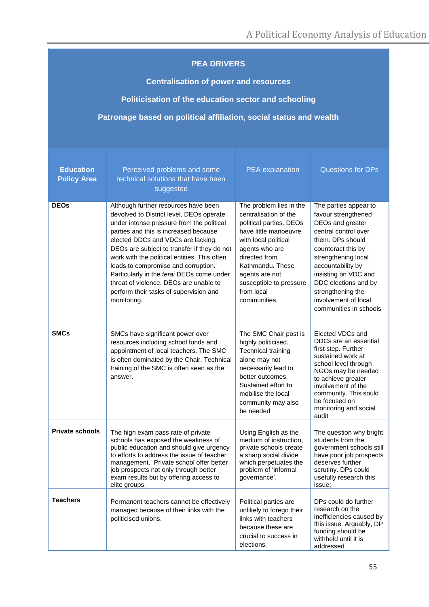## **PEA DRIVERS**

**Centralisation of power and resources**

**Politicisation of the education sector and schooling**

**Patronage based on political affiliation, social status and wealth** 

| <b>Education</b><br><b>Policy Area</b> | Perceived problems and some<br>technical solutions that have been<br>suggested                                                                                                                                                                                                                                                                                                                                                                                                                     | PEA explanation                                                                                                                                                                                                                                                | <b>Questions for DPs</b>                                                                                                                                                                                                                                                                              |
|----------------------------------------|----------------------------------------------------------------------------------------------------------------------------------------------------------------------------------------------------------------------------------------------------------------------------------------------------------------------------------------------------------------------------------------------------------------------------------------------------------------------------------------------------|----------------------------------------------------------------------------------------------------------------------------------------------------------------------------------------------------------------------------------------------------------------|-------------------------------------------------------------------------------------------------------------------------------------------------------------------------------------------------------------------------------------------------------------------------------------------------------|
| <b>DEOs</b>                            | Although further resources have been<br>devolved to District level, DEOs operate<br>under intense pressure from the political<br>parties and this is increased because<br>elected DDCs and VDCs are lacking.<br>DEOs are subject to transfer if they do not<br>work with the political entities. This often<br>leads to compromise and corruption.<br>Particularly in the terai DEOs come under<br>threat of violence. DEOs are unable to<br>perform their tasks of supervision and<br>monitoring. | The problem lies in the<br>centralisation of the<br>political parties. DEOs<br>have little manoeuvre<br>with local political<br>agents who are<br>directed from<br>Kathmandu. These<br>agents are not<br>susceptible to pressure<br>from local<br>communities. | The parties appear to<br>favour strengthened<br>DEOs and greater<br>central control over<br>them. DPs should<br>counteract this by<br>strengthening local<br>accountability by<br>insisting on VDC and<br>DDC elections and by<br>strengthening the<br>involvement of local<br>communities in schools |
| <b>SMCs</b>                            | SMCs have significant power over<br>resources including school funds and<br>appointment of local teachers. The SMC<br>is often dominated by the Chair. Technical<br>training of the SMC is often seen as the<br>answer.                                                                                                                                                                                                                                                                            | The SMC Chair post is<br>highly politicised.<br>Technical training<br>alone may not<br>necessarily lead to<br>better outcomes.<br>Sustained effort to<br>mobilise the local<br>community may also<br>be needed                                                 | Elected VDCs and<br>DDCs are an essential<br>first step. Further<br>sustained work at<br>school level through<br>NGOs may be needed<br>to achieve greater<br>involvement of the<br>community. This sould<br>be focused on<br>monitoring and social<br>audit                                           |
| <b>Private schools</b>                 | The high exam pass rate of private<br>schools has exposed the weakness of<br>public education and should give urgency<br>to efforts to address the issue of teacher<br>management. Private school offer better<br>job prospects not only through better<br>exam results but by offering access to<br>elite groups.                                                                                                                                                                                 | Using English as the<br>medium of instruction,<br>private schools create<br>a sharp social divide<br>which perpetuates the<br>problem of 'informal<br>governance'.                                                                                             | The question why bright<br>students from the<br>government schools still<br>have poor job prospects<br>deserves further<br>scrutiny. DPs could<br>usefully research this<br>issue;                                                                                                                    |
| <b>Teachers</b>                        | Permanent teachers cannot be effectively<br>managed because of their links with the<br>politicised unions.                                                                                                                                                                                                                                                                                                                                                                                         | Political parties are<br>unlikely to forego their<br>links with teachers<br>because these are<br>crucial to success in<br>elections.                                                                                                                           | DPs could do further<br>research on the<br>inefficiencies caused by<br>this issue. Arguably, DP<br>funding should be<br>withheld until it is<br>addressed                                                                                                                                             |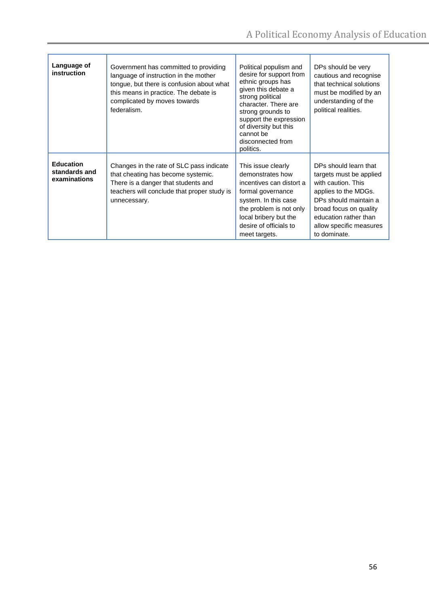| Language of<br>instruction                        | Government has committed to providing<br>language of instruction in the mother<br>tongue, but there is confusion about what<br>this means in practice. The debate is<br>complicated by moves towards<br>federalism. | Political populism and<br>desire for support from<br>ethnic groups has<br>given this debate a<br>strong political<br>character. There are<br>strong grounds to<br>support the expression<br>of diversity but this<br>cannot be<br>disconnected from<br>politics. | DPs should be very<br>cautious and recognise<br>that technical solutions<br>must be modified by an<br>understanding of the<br>political realities.                                                                    |
|---------------------------------------------------|---------------------------------------------------------------------------------------------------------------------------------------------------------------------------------------------------------------------|------------------------------------------------------------------------------------------------------------------------------------------------------------------------------------------------------------------------------------------------------------------|-----------------------------------------------------------------------------------------------------------------------------------------------------------------------------------------------------------------------|
| <b>Education</b><br>standards and<br>examinations | Changes in the rate of SLC pass indicate<br>that cheating has become systemic.<br>There is a danger that students and<br>teachers will conclude that proper study is<br>unnecessary.                                | This issue clearly<br>demonstrates how<br>incentives can distort a<br>formal governance<br>system. In this case<br>the problem is not only<br>local bribery but the<br>desire of officials to<br>meet targets.                                                   | DPs should learn that<br>targets must be applied<br>with caution. This<br>applies to the MDGs.<br>DPs should maintain a<br>broad focus on quality<br>education rather than<br>allow specific measures<br>to dominate. |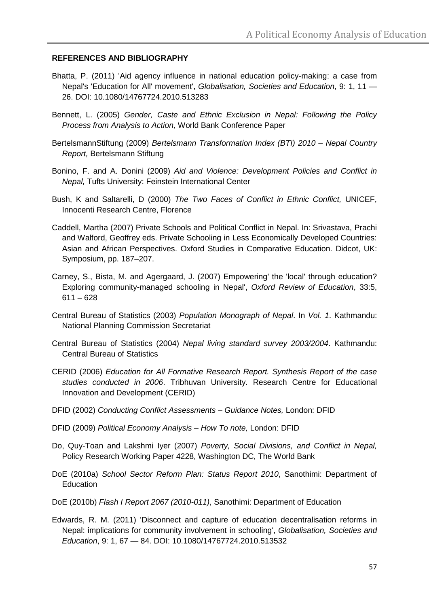#### **REFERENCES AND BIBLIOGRAPHY**

- Bhatta, P. (2011) 'Aid agency influence in national education policy-making: a case from Nepal's 'Education for All' movement', *Globalisation, Societies and Education*, 9: 1, 11 — 26. DOI: 10.1080/14767724.2010.513283
- Bennett, L. (2005) *Gender, Caste and Ethnic Exclusion in Nepal: Following the Policy Process from Analysis to Action,* World Bank Conference Paper
- BertelsmannStiftung (2009) *Bertelsmann Transformation Index (BTI) 2010 – Nepal Country Report,* Bertelsmann Stiftung
- Bonino, F. and A. Donini (2009) *Aid and Violence: Development Policies and Conflict in Nepal,* Tufts University: Feinstein International Center
- Bush, K and Saltarelli, D (2000) *The Two Faces of Conflict in Ethnic Conflict,* UNICEF, Innocenti Research Centre, Florence
- Caddell, Martha (2007) Private Schools and Political Conflict in Nepal. In: Srivastava, Prachi and Walford, Geoffrey eds. Private Schooling in Less Economically Developed Countries: Asian and African Perspectives. Oxford Studies in Comparative Education. Didcot, UK: Symposium, pp. 187–207.
- Carney, S., Bista, M. and Agergaard, J. (2007) Empowering' the 'local' through education? Exploring community-managed schooling in Nepal', *Oxford Review of Education*, 33:5,  $611 - 628$
- Central Bureau of Statistics (2003) *Population Monograph of Nepal*. In *Vol. 1*. Kathmandu: National Planning Commission Secretariat
- Central Bureau of Statistics (2004) *Nepal living standard survey 2003/2004*. Kathmandu: Central Bureau of Statistics
- CERID (2006) *Education for All Formative Research Report. Synthesis Report of the case studies conducted in 2006*. Tribhuvan University. Research Centre for Educational Innovation and Development (CERID)
- DFID (2002) *Conducting Conflict Assessments – Guidance Notes,* London: DFID
- DFID (2009) *Political Economy Analysis – How To note,* London: DFID
- Do, Quy-Toan and Lakshmi Iyer (2007) *Poverty, Social Divisions, and Conflict in Nepal,*  Policy Research Working Paper 4228, Washington DC, The World Bank
- DoE (2010a) *School Sector Reform Plan: Status Report 2010*, Sanothimi: Department of Education
- DoE (2010b) *Flash I Report 2067 (2010-011)*, Sanothimi: Department of Education
- Edwards, R. M. (2011) 'Disconnect and capture of education decentralisation reforms in Nepal: implications for community involvement in schooling', *Globalisation, Societies and Education*, 9: 1, 67 — 84. DOI: 10.1080/14767724.2010.513532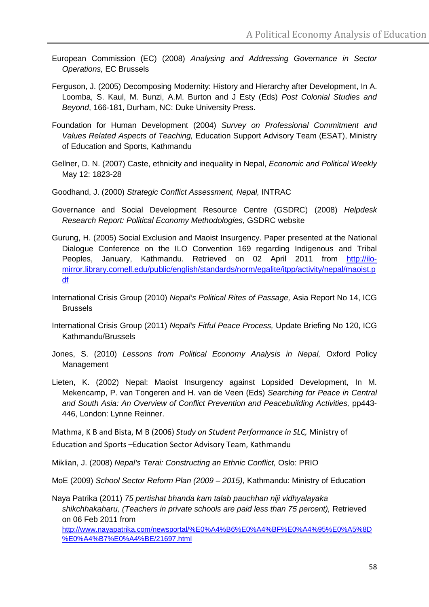- European Commission (EC) (2008) *Analysing and Addressing Governance in Sector Operations,* EC Brussels
- Ferguson, J. (2005) Decomposing Modernity: History and Hierarchy after Development, In A. Loomba, S. Kaul, M. Bunzi, A.M. Burton and J Esty (Eds) *Post Colonial Studies and Beyond*, 166-181, Durham, NC: Duke University Press.
- Foundation for Human Development (2004) *Survey on Professional Commitment and Values Related Aspects of Teaching,* Education Support Advisory Team (ESAT), Ministry of Education and Sports, Kathmandu
- Gellner, D. N. (2007) Caste, ethnicity and inequality in Nepal, *Economic and Political Weekly*  May 12: 1823-28
- Goodhand, J. (2000) *Strategic Conflict Assessment, Nepal,* INTRAC
- Governance and Social Development Resource Centre (GSDRC) (2008) *Helpdesk Research Report: Political Economy Methodologies,* GSDRC website
- Gurung, H. (2005) Social Exclusion and Maoist Insurgency. Paper presented at the National Dialogue Conference on the ILO Convention 169 regarding Indigenous and Tribal Peoples, January, Kathmandu. Retrieved on 02 April 2011 from [http://ilo](http://ilo-mirror.library.cornell.edu/public/english/standards/norm/egalite/itpp/activity/nepal/maoist.pdf)[mirror.library.cornell.edu/public/english/standards/norm/egalite/itpp/activity/nepal/maoist.p](http://ilo-mirror.library.cornell.edu/public/english/standards/norm/egalite/itpp/activity/nepal/maoist.pdf) [df](http://ilo-mirror.library.cornell.edu/public/english/standards/norm/egalite/itpp/activity/nepal/maoist.pdf)
- International Crisis Group (2010) *Nepal's Political Rites of Passage,* Asia Report No 14, ICG Brussels
- International Crisis Group (2011) *Nepal's Fitful Peace Process,* Update Briefing No 120, ICG Kathmandu/Brussels
- Jones, S. (2010) *Lessons from Political Economy Analysis in Nepal,* Oxford Policy Management
- Lieten, K. (2002) Nepal: Maoist Insurgency against Lopsided Development, In M. Mekencamp, P. van Tongeren and H. van de Veen (Eds) *Searching for Peace in Central*  and South Asia: An Overview of Conflict Prevention and Peacebuilding Activities, pp443-446, London: Lynne Reinner.

Mathma, K B and Bista, M B (2006) *Study on Student Performance in SLC,* Ministry of Education and Sports –Education Sector Advisory Team, Kathmandu

Miklian, J. (2008) *Nepal's Terai: Constructing an Ethnic Conflict,* Oslo: PRIO

MoE (2009) *School Sector Reform Plan (2009 – 2015),* Kathmandu: Ministry of Education

Naya Patrika (2011) *75 pertishat bhanda kam talab pauchhan niji vidhyalayaka shikchhakaharu, (Teachers in private schools are paid less than 75 percent),* Retrieved on 06 Feb 2011 from

[http://www.nayapatrika.com/newsportal/%E0%A4%B6%E0%A4%BF%E0%A4%95%E0%A5%8D](http://www.nayapatrika.com/newsportal/%E0%A4%B6%E0%A4%BF%E0%A4%95%E0%A5%8D%E0%A4%B7%E0%A4%BE/21697.html) [%E0%A4%B7%E0%A4%BE/21697.html](http://www.nayapatrika.com/newsportal/%E0%A4%B6%E0%A4%BF%E0%A4%95%E0%A5%8D%E0%A4%B7%E0%A4%BE/21697.html)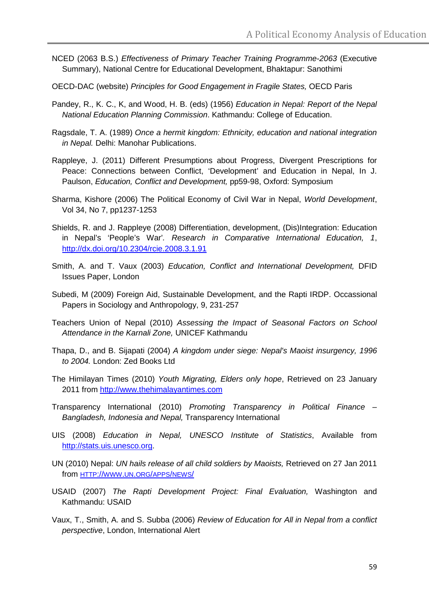- NCED (2063 B.S.) *Effectiveness of Primary Teacher Training Programme-2063* (Executive Summary), National Centre for Educational Development, Bhaktapur: Sanothimi
- OECD-DAC (website) *Principles for Good Engagement in Fragile States,* OECD Paris
- Pandey, R., K. C., K, and Wood, H. B. (eds) (1956) *Education in Nepal: Report of the Nepal National Education Planning Commission*. Kathmandu: College of Education.
- Ragsdale, T. A. (1989) *Once a hermit kingdom: Ethnicity, education and national integration in Nepal.* Delhi: Manohar Publications.
- Rappleye, J. (2011) Different Presumptions about Progress, Divergent Prescriptions for Peace: Connections between Conflict, 'Development' and Education in Nepal, In J. Paulson, *Education, Conflict and Development,* pp59-98, Oxford: Symposium
- Sharma, Kishore (2006) The Political Economy of Civil War in Nepal, *World Development*, Vol 34, No 7, pp1237-1253
- Shields, R. and J. Rappleye (2008) Differentiation, development, (Dis)Integration: Education in Nepal's 'People's War'*. Research in Comparative International Education, 1*, <http://dx.doi.org/10.2304/rcie.2008.3.1.91>
- Smith, A. and T. Vaux (2003) *Education, Conflict and International Development,* DFID Issues Paper, London
- Subedi, M (2009) Foreign Aid, Sustainable Development, and the Rapti IRDP. Occassional Papers in Sociology and Anthropology, 9, 231-257
- Teachers Union of Nepal (2010) *Assessing the Impact of Seasonal Factors on School Attendance in the Karnali Zone,* UNICEF Kathmandu
- Thapa, D., and B. Sijapati (2004) *A kingdom under siege: Nepal's Maoist insurgency, 1996 to 2004.* London: Zed Books Ltd
- The Himilayan Times (2010) *Youth Migrating, Elders only hope*, Retrieved on 23 January 2011 from [http://www.thehimalayantimes.com](http://www.thehimalayantimes.com/)
- Transparency International (2010) *Promoting Transparency in Political Finance – Bangladesh, Indonesia and Nepal,* Transparency International
- UIS (2008) *Education in Nepal, UNESCO Institute of Statistics*, Available from [http://stats.uis.unesco.org.](http://stats.uis.unesco.org/)
- UN (2010) Nepal: *UN hails release of all child soldiers by Maoists,* Retrieved on 27 Jan 2011 from [HTTP://WWW.UN.ORG/APPS/NEWS/](http://www.un.org/apps/news/)
- USAID (2007) *The Rapti Development Project: Final Evaluation,* Washington and Kathmandu: USAID
- Vaux, T., Smith, A. and S. Subba (2006) *Review of Education for All in Nepal from a conflict perspective*, London, International Alert